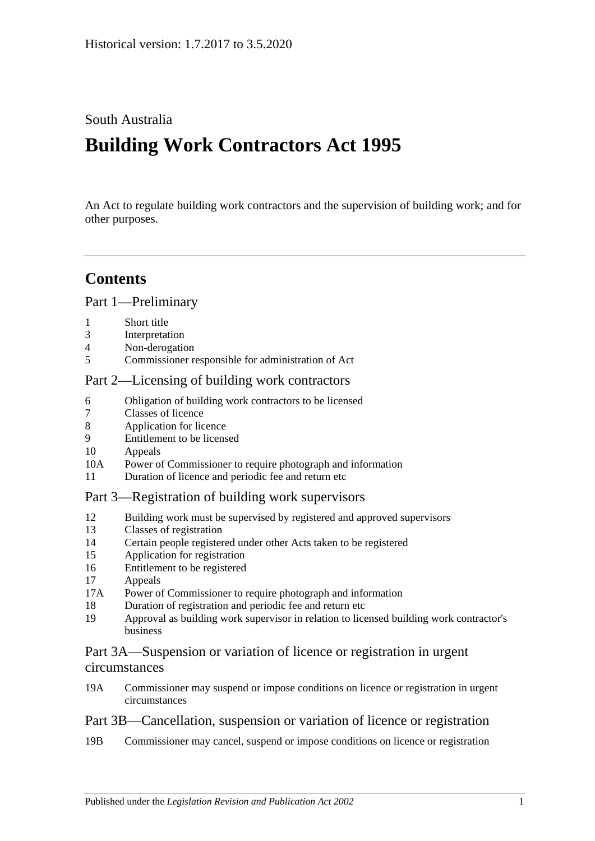## South Australia

# **Building Work Contractors Act 1995**

An Act to regulate building work contractors and the supervision of building work; and for other purposes.

# **Contents**

[Part 1—Preliminary](#page-2-0)

- 1 [Short title](#page-2-1)
- 3 [Interpretation](#page-2-2)
- 4 [Non-derogation](#page-4-0)
- 5 [Commissioner responsible for administration of Act](#page-4-1)

#### [Part 2—Licensing of building work contractors](#page-4-2)

- 6 [Obligation of building work contractors to be licensed](#page-4-3)
- 7 [Classes of licence](#page-5-0)
- 8 [Application for licence](#page-5-1)
- 9 [Entitlement to be licensed](#page-6-0)
- 10 [Appeals](#page-8-0)
- 10A [Power of Commissioner to require photograph and information](#page-9-0)
- 11 [Duration of licence and periodic fee and return etc](#page-9-1)

#### [Part 3—Registration of building work supervisors](#page-9-2)

- 12 [Building work must be supervised by registered and approved supervisors](#page-9-3)
- 13 [Classes of registration](#page-10-0)
- 14 [Certain people registered under other Acts taken to be registered](#page-11-0)
- 15 [Application for registration](#page-11-1)
- 16 [Entitlement to be registered](#page-11-2)
- 17 [Appeals](#page-12-0)
- 17A [Power of Commissioner to require photograph and information](#page-12-1)
- 18 [Duration of registration and periodic fee and return etc](#page-12-2)
- 19 [Approval as building work supervisor in relation to licensed building work contractor's](#page-13-0)  [business](#page-13-0)

#### [Part 3A—Suspension or variation of licence or registration in urgent](#page-14-0)  [circumstances](#page-14-0)

19A [Commissioner may suspend or impose conditions on licence or registration in urgent](#page-14-1)  [circumstances](#page-14-1)

## [Part 3B—Cancellation, suspension or variation of licence or registration](#page-15-0)

19B [Commissioner may cancel, suspend or impose conditions on licence or registration](#page-15-1)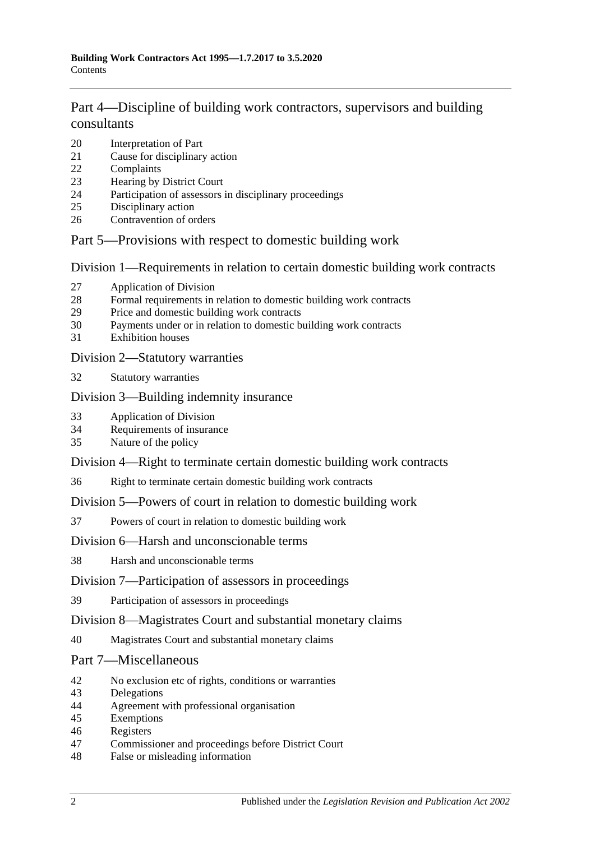# [Part 4—Discipline of building work contractors, supervisors and building](#page-16-0)  [consultants](#page-16-0)

- [Interpretation of Part](#page-16-1)
- [Cause for disciplinary action](#page-17-0)
- [Complaints](#page-17-1)
- [Hearing by District Court](#page-18-0)
- [Participation of assessors in disciplinary proceedings](#page-18-1)
- [Disciplinary action](#page-18-2)
- [Contravention of orders](#page-19-0)

#### [Part 5—Provisions with respect to domestic building work](#page-19-1)

[Division 1—Requirements in relation to certain domestic building work contracts](#page-19-2)

- [Application of Division](#page-19-3)
- [Formal requirements in relation to domestic building work contracts](#page-20-0)
- [Price and domestic building work contracts](#page-20-1)
- [Payments under or in relation to domestic building work contracts](#page-22-0)
- [Exhibition houses](#page-23-0)

#### [Division 2—Statutory warranties](#page-23-1)

[Statutory warranties](#page-23-2)

#### [Division 3—Building indemnity insurance](#page-24-0)

- [Application of Division](#page-24-1)
- [Requirements of insurance](#page-24-2)
- [Nature of the policy](#page-25-0)

#### [Division 4—Right to terminate certain domestic building work contracts](#page-25-1)

[Right to terminate certain domestic building work contracts](#page-25-2)

#### [Division 5—Powers of court in relation to domestic building work](#page-26-0)

[Powers of court in relation to domestic building work](#page-26-1)

#### [Division 6—Harsh and unconscionable terms](#page-27-0)

[Harsh and unconscionable terms](#page-27-1)

#### [Division 7—Participation of assessors in proceedings](#page-28-0)

[Participation of assessors in proceedings](#page-28-1)

#### [Division 8—Magistrates Court and substantial monetary claims](#page-28-2)

[Magistrates Court and substantial monetary claims](#page-28-3)

#### [Part 7—Miscellaneous](#page-28-4)

- [No exclusion etc of rights, conditions or warranties](#page-28-5)
- [Delegations](#page-29-0)
- [Agreement with professional organisation](#page-29-1)
- [Exemptions](#page-30-0)
- [Registers](#page-30-1)
- [Commissioner and proceedings before District Court](#page-31-0)
- [False or misleading information](#page-31-1)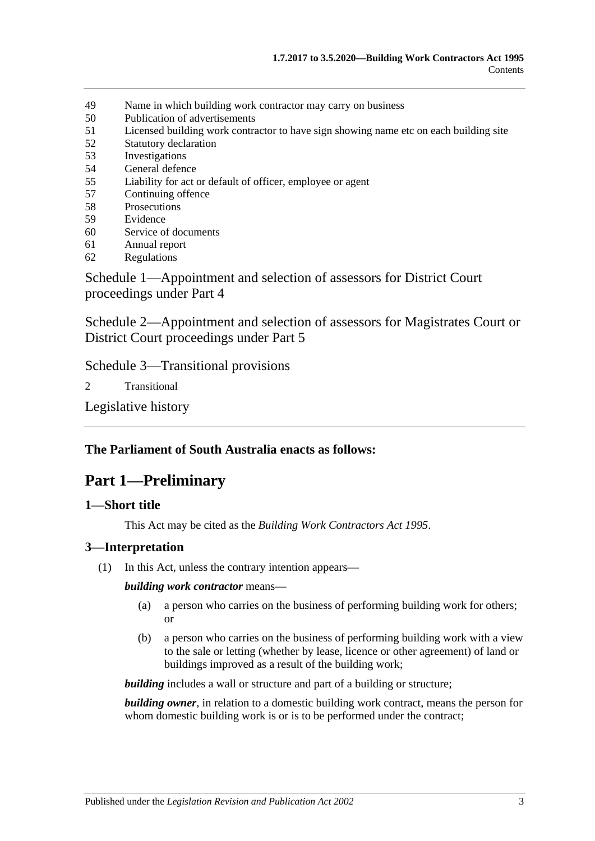- 49 [Name in which building work contractor may carry on business](#page-31-2)
- 50 [Publication of advertisements](#page-31-3)
- 51 [Licensed building work contractor to have sign showing name etc on each building site](#page-32-0)
- 52 [Statutory declaration](#page-32-1)
- 53 [Investigations](#page-32-2)
- 54 [General defence](#page-32-3)
- 55 [Liability for act or default of officer, employee or agent](#page-32-4)
- 57 [Continuing offence](#page-33-0)
- 58 [Prosecutions](#page-33-1)
- 59 [Evidence](#page-33-2)
- 60 [Service of documents](#page-34-0)
- 61 [Annual report](#page-34-1)
- 62 [Regulations](#page-34-2)

[Schedule 1—Appointment and selection of assessors for District Court](#page-35-0)  [proceedings under Part 4](#page-35-0)

[Schedule 2—Appointment and selection of assessors for Magistrates Court or](#page-36-0)  [District Court proceedings under Part](#page-36-0) 5

[Schedule 3—Transitional provisions](#page-36-1)

2 [Transitional](#page-36-2)

[Legislative history](#page-38-0)

#### <span id="page-2-0"></span>**The Parliament of South Australia enacts as follows:**

# **Part 1—Preliminary**

#### <span id="page-2-1"></span>**1—Short title**

This Act may be cited as the *Building Work Contractors Act 1995*.

#### <span id="page-2-2"></span>**3—Interpretation**

(1) In this Act, unless the contrary intention appears—

*building work contractor* means—

- (a) a person who carries on the business of performing building work for others; or
- (b) a person who carries on the business of performing building work with a view to the sale or letting (whether by lease, licence or other agreement) of land or buildings improved as a result of the building work;

*building* includes a wall or structure and part of a building or structure;

*building owner*, in relation to a domestic building work contract, means the person for whom domestic building work is or is to be performed under the contract;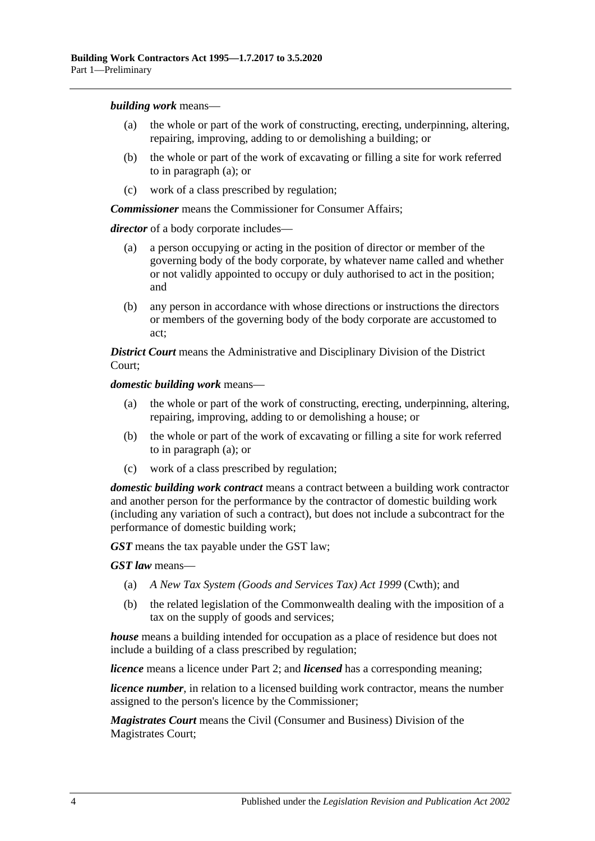<span id="page-3-0"></span>*building work* means—

- (a) the whole or part of the work of constructing, erecting, underpinning, altering, repairing, improving, adding to or demolishing a building; or
- (b) the whole or part of the work of excavating or filling a site for work referred to in [paragraph](#page-3-0) (a); or
- (c) work of a class prescribed by regulation;

*Commissioner* means the Commissioner for Consumer Affairs;

*director* of a body corporate includes—

- (a) a person occupying or acting in the position of director or member of the governing body of the body corporate, by whatever name called and whether or not validly appointed to occupy or duly authorised to act in the position; and
- (b) any person in accordance with whose directions or instructions the directors or members of the governing body of the body corporate are accustomed to act;

*District Court* means the Administrative and Disciplinary Division of the District Court;

<span id="page-3-1"></span>*domestic building work* means—

- (a) the whole or part of the work of constructing, erecting, underpinning, altering, repairing, improving, adding to or demolishing a house; or
- (b) the whole or part of the work of excavating or filling a site for work referred to in [paragraph](#page-3-1) (a); or
- (c) work of a class prescribed by regulation;

*domestic building work contract* means a contract between a building work contractor and another person for the performance by the contractor of domestic building work (including any variation of such a contract), but does not include a subcontract for the performance of domestic building work;

*GST* means the tax payable under the GST law;

*GST law* means—

- (a) *A New Tax System (Goods and Services Tax) Act 1999* (Cwth); and
- (b) the related legislation of the Commonwealth dealing with the imposition of a tax on the supply of goods and services;

*house* means a building intended for occupation as a place of residence but does not include a building of a class prescribed by regulation;

*licence* means a licence under [Part 2;](#page-4-2) and *licensed* has a corresponding meaning;

*licence number*, in relation to a licensed building work contractor, means the number assigned to the person's licence by the Commissioner;

*Magistrates Court* means the Civil (Consumer and Business) Division of the Magistrates Court;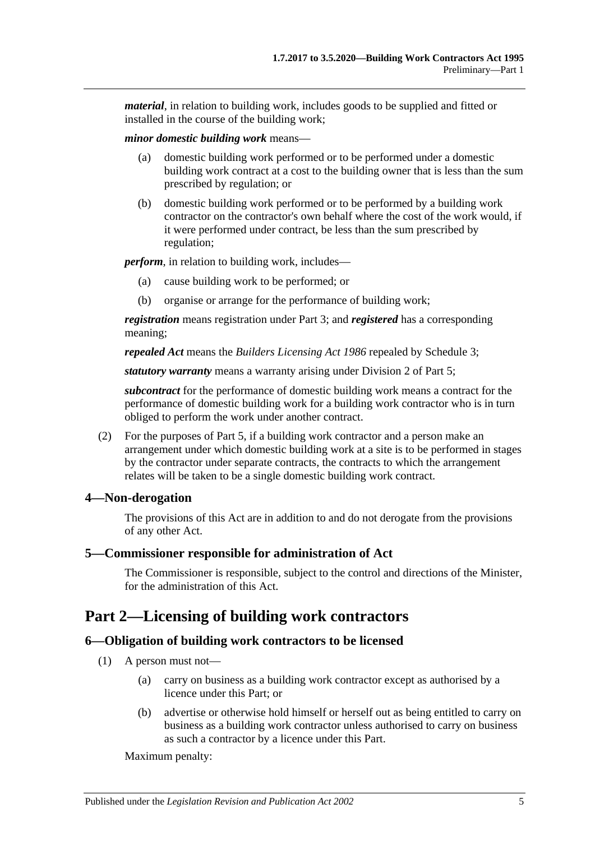*material*, in relation to building work, includes goods to be supplied and fitted or installed in the course of the building work;

*minor domestic building work* means—

- (a) domestic building work performed or to be performed under a domestic building work contract at a cost to the building owner that is less than the sum prescribed by regulation; or
- (b) domestic building work performed or to be performed by a building work contractor on the contractor's own behalf where the cost of the work would, if it were performed under contract, be less than the sum prescribed by regulation;

*perform*, in relation to building work, includes—

- (a) cause building work to be performed; or
- (b) organise or arrange for the performance of building work;

*registration* means registration under [Part 3;](#page-9-2) and *registered* has a corresponding meaning;

*repealed Act* means the *[Builders Licensing Act](http://www.legislation.sa.gov.au/index.aspx?action=legref&type=act&legtitle=Builders%20Licensing%20Act%201986) 1986* repealed by [Schedule 3;](#page-36-1)

*statutory warranty* means a warranty arising under [Division 2](#page-23-1) of [Part 5;](#page-19-1)

*subcontract* for the performance of domestic building work means a contract for the performance of domestic building work for a building work contractor who is in turn obliged to perform the work under another contract.

(2) For the purposes of [Part 5,](#page-19-1) if a building work contractor and a person make an arrangement under which domestic building work at a site is to be performed in stages by the contractor under separate contracts, the contracts to which the arrangement relates will be taken to be a single domestic building work contract.

## <span id="page-4-0"></span>**4—Non-derogation**

The provisions of this Act are in addition to and do not derogate from the provisions of any other Act.

#### <span id="page-4-1"></span>**5—Commissioner responsible for administration of Act**

The Commissioner is responsible, subject to the control and directions of the Minister, for the administration of this Act.

# <span id="page-4-2"></span>**Part 2—Licensing of building work contractors**

## <span id="page-4-3"></span>**6—Obligation of building work contractors to be licensed**

- (1) A person must not—
	- (a) carry on business as a building work contractor except as authorised by a licence under this Part; or
	- (b) advertise or otherwise hold himself or herself out as being entitled to carry on business as a building work contractor unless authorised to carry on business as such a contractor by a licence under this Part.

Maximum penalty: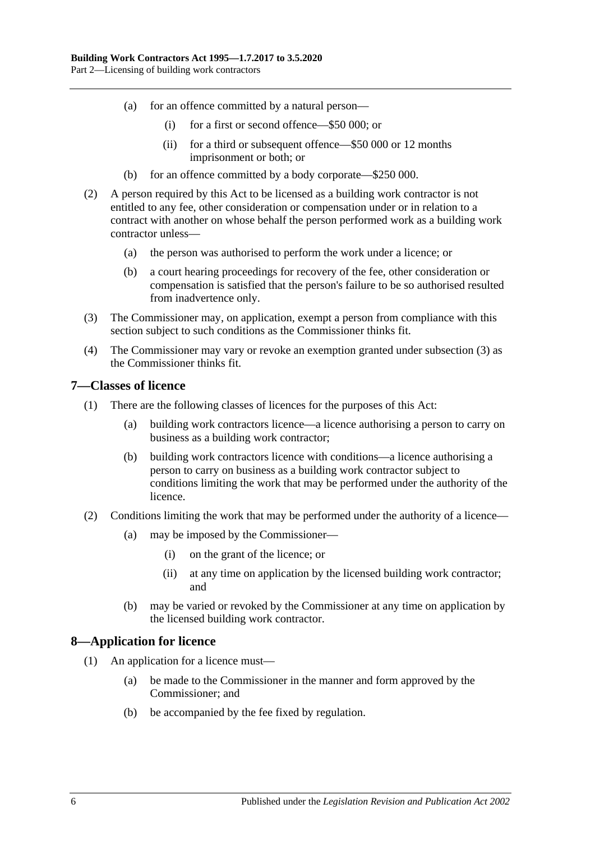- (a) for an offence committed by a natural person—
	- (i) for a first or second offence—\$50 000; or
	- (ii) for a third or subsequent offence—\$50 000 or 12 months imprisonment or both; or
- (b) for an offence committed by a body corporate—\$250 000.
- (2) A person required by this Act to be licensed as a building work contractor is not entitled to any fee, other consideration or compensation under or in relation to a contract with another on whose behalf the person performed work as a building work contractor unless—
	- (a) the person was authorised to perform the work under a licence; or
	- (b) a court hearing proceedings for recovery of the fee, other consideration or compensation is satisfied that the person's failure to be so authorised resulted from inadvertence only.
- <span id="page-5-2"></span>(3) The Commissioner may, on application, exempt a person from compliance with this section subject to such conditions as the Commissioner thinks fit.
- (4) The Commissioner may vary or revoke an exemption granted under [subsection](#page-5-2) (3) as the Commissioner thinks fit.

#### <span id="page-5-0"></span>**7—Classes of licence**

- (1) There are the following classes of licences for the purposes of this Act:
	- (a) building work contractors licence—a licence authorising a person to carry on business as a building work contractor;
	- (b) building work contractors licence with conditions—a licence authorising a person to carry on business as a building work contractor subject to conditions limiting the work that may be performed under the authority of the licence.
- (2) Conditions limiting the work that may be performed under the authority of a licence—
	- (a) may be imposed by the Commissioner—
		- (i) on the grant of the licence; or
		- (ii) at any time on application by the licensed building work contractor; and
	- (b) may be varied or revoked by the Commissioner at any time on application by the licensed building work contractor.

#### <span id="page-5-1"></span>**8—Application for licence**

- (1) An application for a licence must—
	- (a) be made to the Commissioner in the manner and form approved by the Commissioner; and
	- (b) be accompanied by the fee fixed by regulation.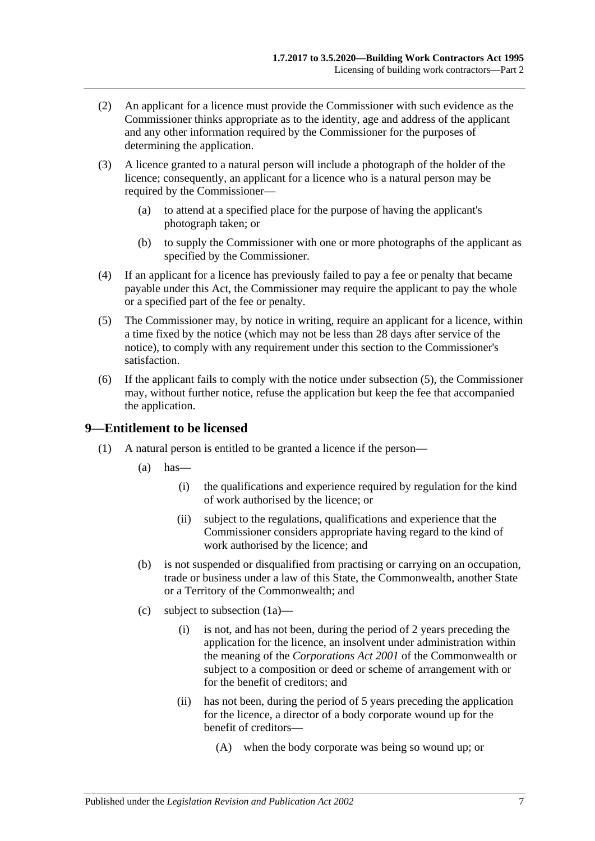- (2) An applicant for a licence must provide the Commissioner with such evidence as the Commissioner thinks appropriate as to the identity, age and address of the applicant and any other information required by the Commissioner for the purposes of determining the application.
- (3) A licence granted to a natural person will include a photograph of the holder of the licence; consequently, an applicant for a licence who is a natural person may be required by the Commissioner—
	- (a) to attend at a specified place for the purpose of having the applicant's photograph taken; or
	- (b) to supply the Commissioner with one or more photographs of the applicant as specified by the Commissioner.
- (4) If an applicant for a licence has previously failed to pay a fee or penalty that became payable under this Act, the Commissioner may require the applicant to pay the whole or a specified part of the fee or penalty.
- <span id="page-6-1"></span>(5) The Commissioner may, by notice in writing, require an applicant for a licence, within a time fixed by the notice (which may not be less than 28 days after service of the notice), to comply with any requirement under this section to the Commissioner's satisfaction.
- (6) If the applicant fails to comply with the notice under [subsection](#page-6-1) (5), the Commissioner may, without further notice, refuse the application but keep the fee that accompanied the application.

#### <span id="page-6-0"></span>**9—Entitlement to be licensed**

- <span id="page-6-2"></span>(1) A natural person is entitled to be granted a licence if the person—
	- $(a)$  has
		- (i) the qualifications and experience required by regulation for the kind of work authorised by the licence; or
		- (ii) subject to the regulations, qualifications and experience that the Commissioner considers appropriate having regard to the kind of work authorised by the licence; and
	- (b) is not suspended or disqualified from practising or carrying on an occupation, trade or business under a law of this State, the Commonwealth, another State or a Territory of the Commonwealth; and
	- (c) subject to [subsection](#page-7-0) (1a)—
		- (i) is not, and has not been, during the period of 2 years preceding the application for the licence, an insolvent under administration within the meaning of the *Corporations Act 2001* of the Commonwealth or subject to a composition or deed or scheme of arrangement with or for the benefit of creditors; and
		- (ii) has not been, during the period of 5 years preceding the application for the licence, a director of a body corporate wound up for the benefit of creditors—
			- (A) when the body corporate was being so wound up; or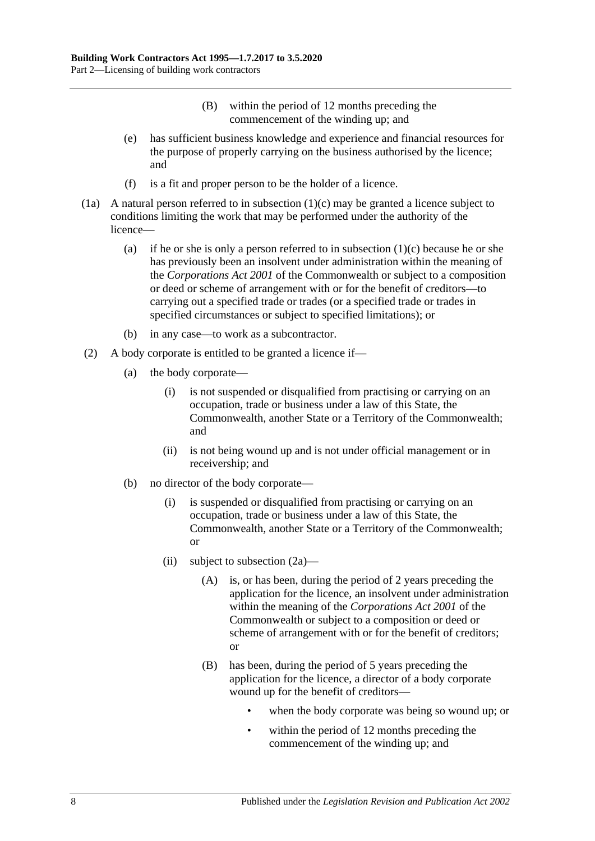- (B) within the period of 12 months preceding the commencement of the winding up; and
- (e) has sufficient business knowledge and experience and financial resources for the purpose of properly carrying on the business authorised by the licence; and
- (f) is a fit and proper person to be the holder of a licence.
- <span id="page-7-0"></span>(1a) A natural person referred to in [subsection](#page-6-2) (1)(c) may be granted a licence subject to conditions limiting the work that may be performed under the authority of the licence
	- (a) if he or she is only a person referred to in [subsection](#page-6-2)  $(1)(c)$  because he or she has previously been an insolvent under administration within the meaning of the *Corporations Act 2001* of the Commonwealth or subject to a composition or deed or scheme of arrangement with or for the benefit of creditors—to carrying out a specified trade or trades (or a specified trade or trades in specified circumstances or subject to specified limitations); or
	- (b) in any case—to work as a subcontractor.
- <span id="page-7-1"></span>(2) A body corporate is entitled to be granted a licence if—
	- (a) the body corporate—
		- (i) is not suspended or disqualified from practising or carrying on an occupation, trade or business under a law of this State, the Commonwealth, another State or a Territory of the Commonwealth; and
		- (ii) is not being wound up and is not under official management or in receivership; and
	- (b) no director of the body corporate—
		- (i) is suspended or disqualified from practising or carrying on an occupation, trade or business under a law of this State, the Commonwealth, another State or a Territory of the Commonwealth; or
		- (ii) subject to [subsection](#page-8-1)  $(2a)$ 
			- (A) is, or has been, during the period of 2 years preceding the application for the licence, an insolvent under administration within the meaning of the *Corporations Act 2001* of the Commonwealth or subject to a composition or deed or scheme of arrangement with or for the benefit of creditors; or
			- (B) has been, during the period of 5 years preceding the application for the licence, a director of a body corporate wound up for the benefit of creditors
				- when the body corporate was being so wound up; or
				- within the period of 12 months preceding the commencement of the winding up; and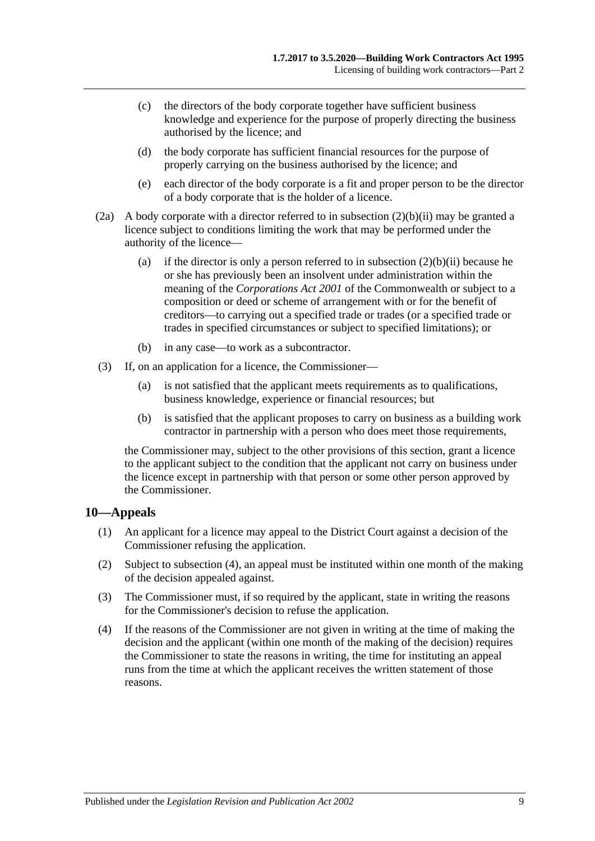- (c) the directors of the body corporate together have sufficient business knowledge and experience for the purpose of properly directing the business authorised by the licence; and
- (d) the body corporate has sufficient financial resources for the purpose of properly carrying on the business authorised by the licence; and
- (e) each director of the body corporate is a fit and proper person to be the director of a body corporate that is the holder of a licence.
- <span id="page-8-1"></span>(2a) A body corporate with a director referred to in [subsection](#page-7-1) (2)(b)(ii) may be granted a licence subject to conditions limiting the work that may be performed under the authority of the licence
	- (a) if the director is only a person referred to in [subsection](#page-7-1)  $(2)(b)(ii)$  because he or she has previously been an insolvent under administration within the meaning of the *Corporations Act 2001* of the Commonwealth or subject to a composition or deed or scheme of arrangement with or for the benefit of creditors—to carrying out a specified trade or trades (or a specified trade or trades in specified circumstances or subject to specified limitations); or
	- (b) in any case—to work as a subcontractor.
- (3) If, on an application for a licence, the Commissioner—
	- (a) is not satisfied that the applicant meets requirements as to qualifications, business knowledge, experience or financial resources; but
	- (b) is satisfied that the applicant proposes to carry on business as a building work contractor in partnership with a person who does meet those requirements,

the Commissioner may, subject to the other provisions of this section, grant a licence to the applicant subject to the condition that the applicant not carry on business under the licence except in partnership with that person or some other person approved by the Commissioner.

#### <span id="page-8-0"></span>**10—Appeals**

- (1) An applicant for a licence may appeal to the District Court against a decision of the Commissioner refusing the application.
- (2) Subject to [subsection](#page-8-2) (4), an appeal must be instituted within one month of the making of the decision appealed against.
- (3) The Commissioner must, if so required by the applicant, state in writing the reasons for the Commissioner's decision to refuse the application.
- <span id="page-8-2"></span>(4) If the reasons of the Commissioner are not given in writing at the time of making the decision and the applicant (within one month of the making of the decision) requires the Commissioner to state the reasons in writing, the time for instituting an appeal runs from the time at which the applicant receives the written statement of those reasons.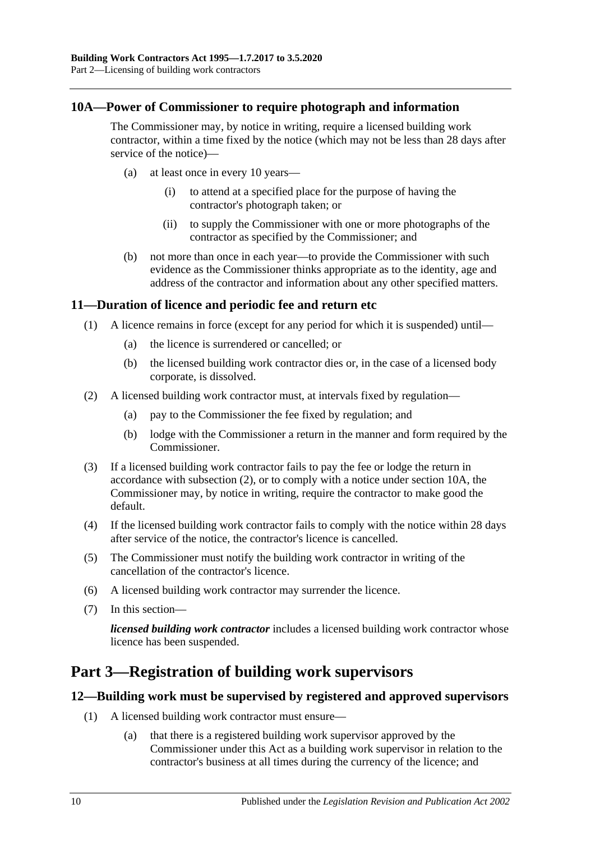#### <span id="page-9-0"></span>**10A—Power of Commissioner to require photograph and information**

The Commissioner may, by notice in writing, require a licensed building work contractor, within a time fixed by the notice (which may not be less than 28 days after service of the notice)—

- (a) at least once in every 10 years—
	- (i) to attend at a specified place for the purpose of having the contractor's photograph taken; or
	- (ii) to supply the Commissioner with one or more photographs of the contractor as specified by the Commissioner; and
- (b) not more than once in each year—to provide the Commissioner with such evidence as the Commissioner thinks appropriate as to the identity, age and address of the contractor and information about any other specified matters.

#### <span id="page-9-1"></span>**11—Duration of licence and periodic fee and return etc**

- (1) A licence remains in force (except for any period for which it is suspended) until—
	- (a) the licence is surrendered or cancelled; or
	- (b) the licensed building work contractor dies or, in the case of a licensed body corporate, is dissolved.
- <span id="page-9-4"></span>(2) A licensed building work contractor must, at intervals fixed by regulation—
	- (a) pay to the Commissioner the fee fixed by regulation; and
	- (b) lodge with the Commissioner a return in the manner and form required by the Commissioner.
- (3) If a licensed building work contractor fails to pay the fee or lodge the return in accordance with [subsection](#page-9-4) (2), or to comply with a notice under [section](#page-9-0) 10A, the Commissioner may, by notice in writing, require the contractor to make good the default.
- (4) If the licensed building work contractor fails to comply with the notice within 28 days after service of the notice, the contractor's licence is cancelled.
- (5) The Commissioner must notify the building work contractor in writing of the cancellation of the contractor's licence.
- (6) A licensed building work contractor may surrender the licence.
- (7) In this section—

*licensed building work contractor* includes a licensed building work contractor whose licence has been suspended.

# <span id="page-9-2"></span>**Part 3—Registration of building work supervisors**

#### <span id="page-9-5"></span><span id="page-9-3"></span>**12—Building work must be supervised by registered and approved supervisors**

- (1) A licensed building work contractor must ensure—
	- (a) that there is a registered building work supervisor approved by the Commissioner under this Act as a building work supervisor in relation to the contractor's business at all times during the currency of the licence; and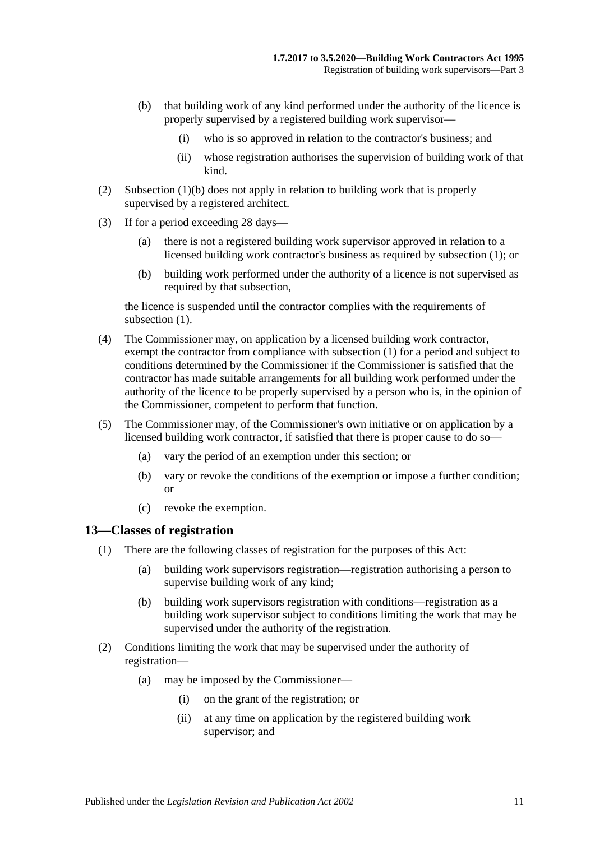- <span id="page-10-1"></span>(b) that building work of any kind performed under the authority of the licence is properly supervised by a registered building work supervisor—
	- (i) who is so approved in relation to the contractor's business; and
	- (ii) whose registration authorises the supervision of building work of that kind.
- (2) [Subsection](#page-10-1) (1)(b) does not apply in relation to building work that is properly supervised by a registered architect.
- (3) If for a period exceeding 28 days—
	- (a) there is not a registered building work supervisor approved in relation to a licensed building work contractor's business as required by [subsection](#page-9-5) (1); or
	- (b) building work performed under the authority of a licence is not supervised as required by that subsection,

the licence is suspended until the contractor complies with the requirements of [subsection](#page-9-5)  $(1)$ .

- (4) The Commissioner may, on application by a licensed building work contractor, exempt the contractor from compliance with [subsection](#page-9-5) (1) for a period and subject to conditions determined by the Commissioner if the Commissioner is satisfied that the contractor has made suitable arrangements for all building work performed under the authority of the licence to be properly supervised by a person who is, in the opinion of the Commissioner, competent to perform that function.
- (5) The Commissioner may, of the Commissioner's own initiative or on application by a licensed building work contractor, if satisfied that there is proper cause to do so—
	- (a) vary the period of an exemption under this section; or
	- (b) vary or revoke the conditions of the exemption or impose a further condition; or
	- (c) revoke the exemption.

#### <span id="page-10-0"></span>**13—Classes of registration**

- (1) There are the following classes of registration for the purposes of this Act:
	- (a) building work supervisors registration—registration authorising a person to supervise building work of any kind;
	- (b) building work supervisors registration with conditions—registration as a building work supervisor subject to conditions limiting the work that may be supervised under the authority of the registration.
- (2) Conditions limiting the work that may be supervised under the authority of registration—
	- (a) may be imposed by the Commissioner—
		- (i) on the grant of the registration; or
		- (ii) at any time on application by the registered building work supervisor; and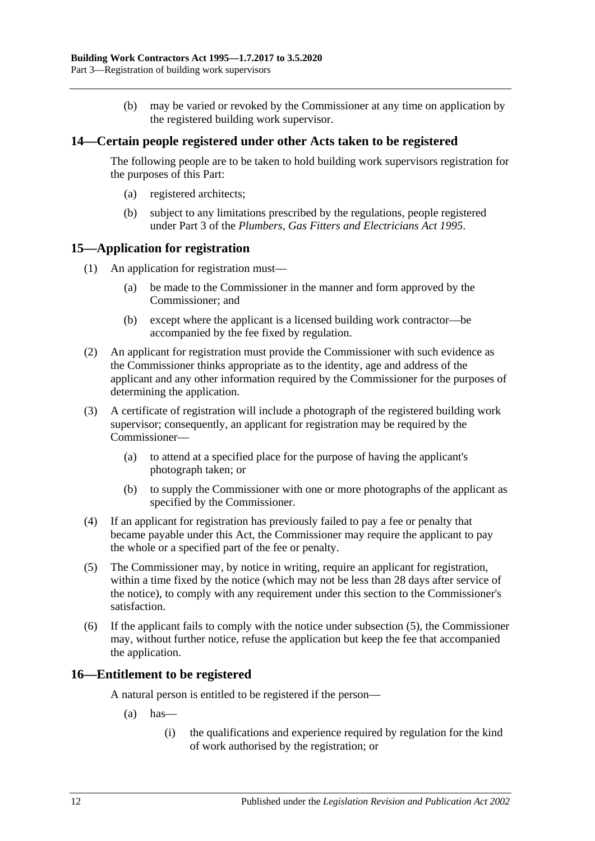(b) may be varied or revoked by the Commissioner at any time on application by the registered building work supervisor.

#### <span id="page-11-0"></span>**14—Certain people registered under other Acts taken to be registered**

The following people are to be taken to hold building work supervisors registration for the purposes of this Part:

- (a) registered architects;
- (b) subject to any limitations prescribed by the regulations, people registered under Part 3 of the *[Plumbers, Gas Fitters and Electricians Act](http://www.legislation.sa.gov.au/index.aspx?action=legref&type=act&legtitle=Plumbers%20Gas%20Fitters%20and%20Electricians%20Act%201995) 1995*.

#### <span id="page-11-1"></span>**15—Application for registration**

- (1) An application for registration must—
	- (a) be made to the Commissioner in the manner and form approved by the Commissioner; and
	- (b) except where the applicant is a licensed building work contractor—be accompanied by the fee fixed by regulation.
- (2) An applicant for registration must provide the Commissioner with such evidence as the Commissioner thinks appropriate as to the identity, age and address of the applicant and any other information required by the Commissioner for the purposes of determining the application.
- (3) A certificate of registration will include a photograph of the registered building work supervisor; consequently, an applicant for registration may be required by the Commissioner—
	- (a) to attend at a specified place for the purpose of having the applicant's photograph taken; or
	- (b) to supply the Commissioner with one or more photographs of the applicant as specified by the Commissioner.
- (4) If an applicant for registration has previously failed to pay a fee or penalty that became payable under this Act, the Commissioner may require the applicant to pay the whole or a specified part of the fee or penalty.
- <span id="page-11-3"></span>(5) The Commissioner may, by notice in writing, require an applicant for registration, within a time fixed by the notice (which may not be less than 28 days after service of the notice), to comply with any requirement under this section to the Commissioner's satisfaction.
- (6) If the applicant fails to comply with the notice under [subsection](#page-11-3) (5), the Commissioner may, without further notice, refuse the application but keep the fee that accompanied the application.

#### <span id="page-11-2"></span>**16—Entitlement to be registered**

A natural person is entitled to be registered if the person—

- $(a)$  has
	- (i) the qualifications and experience required by regulation for the kind of work authorised by the registration; or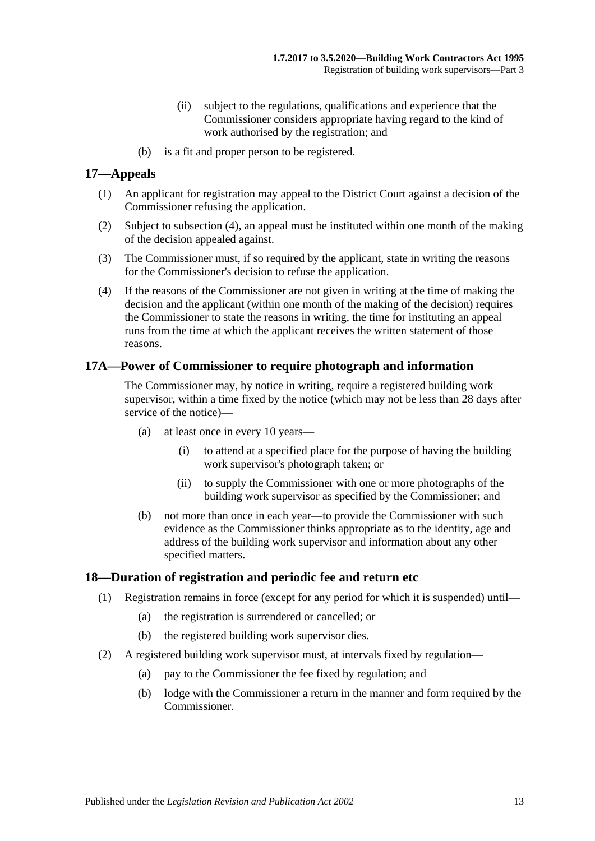- (ii) subject to the regulations, qualifications and experience that the Commissioner considers appropriate having regard to the kind of work authorised by the registration; and
- (b) is a fit and proper person to be registered.

#### <span id="page-12-0"></span>**17—Appeals**

- (1) An applicant for registration may appeal to the District Court against a decision of the Commissioner refusing the application.
- (2) Subject to [subsection](#page-12-3) (4), an appeal must be instituted within one month of the making of the decision appealed against.
- (3) The Commissioner must, if so required by the applicant, state in writing the reasons for the Commissioner's decision to refuse the application.
- <span id="page-12-3"></span>(4) If the reasons of the Commissioner are not given in writing at the time of making the decision and the applicant (within one month of the making of the decision) requires the Commissioner to state the reasons in writing, the time for instituting an appeal runs from the time at which the applicant receives the written statement of those reasons.

#### <span id="page-12-1"></span>**17A—Power of Commissioner to require photograph and information**

The Commissioner may, by notice in writing, require a registered building work supervisor, within a time fixed by the notice (which may not be less than 28 days after service of the notice)—

- (a) at least once in every 10 years—
	- (i) to attend at a specified place for the purpose of having the building work supervisor's photograph taken; or
	- (ii) to supply the Commissioner with one or more photographs of the building work supervisor as specified by the Commissioner; and
- (b) not more than once in each year—to provide the Commissioner with such evidence as the Commissioner thinks appropriate as to the identity, age and address of the building work supervisor and information about any other specified matters.

#### <span id="page-12-2"></span>**18—Duration of registration and periodic fee and return etc**

- (1) Registration remains in force (except for any period for which it is suspended) until—
	- (a) the registration is surrendered or cancelled; or
	- (b) the registered building work supervisor dies.
- <span id="page-12-4"></span>(2) A registered building work supervisor must, at intervals fixed by regulation—
	- (a) pay to the Commissioner the fee fixed by regulation; and
	- (b) lodge with the Commissioner a return in the manner and form required by the Commissioner.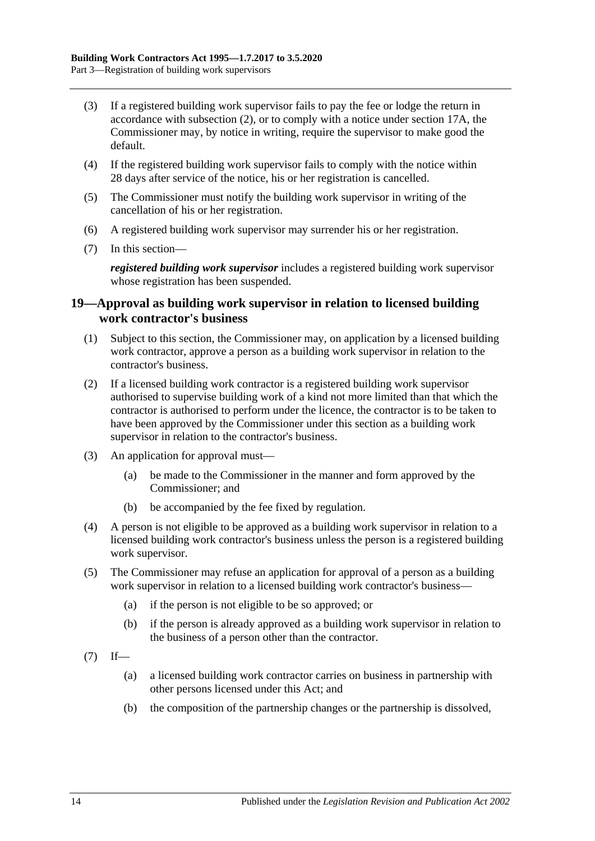- (3) If a registered building work supervisor fails to pay the fee or lodge the return in accordance with [subsection](#page-12-4) (2), or to comply with a notice under [section](#page-12-1) 17A, the Commissioner may, by notice in writing, require the supervisor to make good the default.
- (4) If the registered building work supervisor fails to comply with the notice within 28 days after service of the notice, his or her registration is cancelled.
- (5) The Commissioner must notify the building work supervisor in writing of the cancellation of his or her registration.
- (6) A registered building work supervisor may surrender his or her registration.
- (7) In this section—

*registered building work supervisor* includes a registered building work supervisor whose registration has been suspended.

#### <span id="page-13-0"></span>**19—Approval as building work supervisor in relation to licensed building work contractor's business**

- (1) Subject to this section, the Commissioner may, on application by a licensed building work contractor, approve a person as a building work supervisor in relation to the contractor's business.
- (2) If a licensed building work contractor is a registered building work supervisor authorised to supervise building work of a kind not more limited than that which the contractor is authorised to perform under the licence, the contractor is to be taken to have been approved by the Commissioner under this section as a building work supervisor in relation to the contractor's business.
- (3) An application for approval must—
	- (a) be made to the Commissioner in the manner and form approved by the Commissioner; and
	- (b) be accompanied by the fee fixed by regulation.
- (4) A person is not eligible to be approved as a building work supervisor in relation to a licensed building work contractor's business unless the person is a registered building work supervisor.
- (5) The Commissioner may refuse an application for approval of a person as a building work supervisor in relation to a licensed building work contractor's business—
	- (a) if the person is not eligible to be so approved; or
	- (b) if the person is already approved as a building work supervisor in relation to the business of a person other than the contractor.
- $(7)$  If—
	- (a) a licensed building work contractor carries on business in partnership with other persons licensed under this Act; and
	- (b) the composition of the partnership changes or the partnership is dissolved,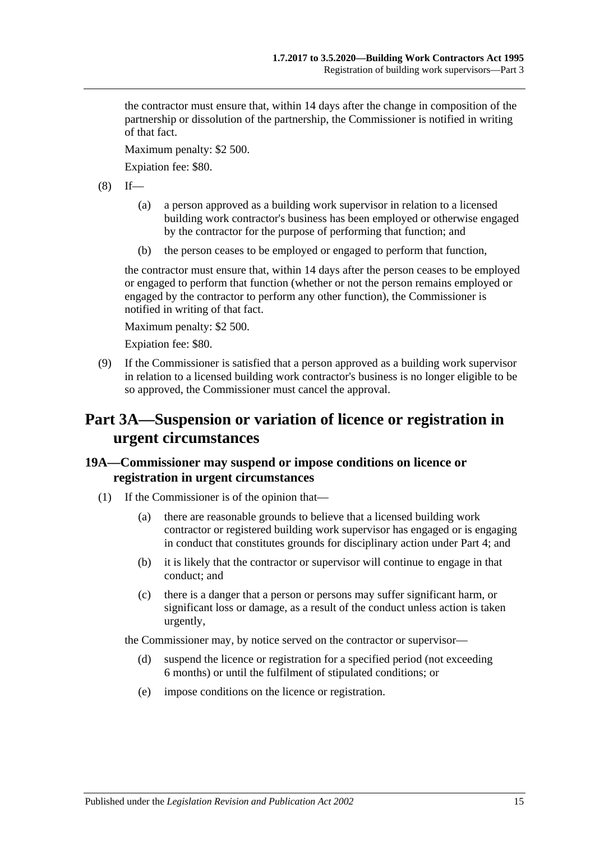the contractor must ensure that, within 14 days after the change in composition of the partnership or dissolution of the partnership, the Commissioner is notified in writing of that fact.

Maximum penalty: \$2 500.

Expiation fee: \$80.

 $(8)$  If—

- (a) a person approved as a building work supervisor in relation to a licensed building work contractor's business has been employed or otherwise engaged by the contractor for the purpose of performing that function; and
- (b) the person ceases to be employed or engaged to perform that function,

the contractor must ensure that, within 14 days after the person ceases to be employed or engaged to perform that function (whether or not the person remains employed or engaged by the contractor to perform any other function), the Commissioner is notified in writing of that fact.

Maximum penalty: \$2 500.

Expiation fee: \$80.

(9) If the Commissioner is satisfied that a person approved as a building work supervisor in relation to a licensed building work contractor's business is no longer eligible to be so approved, the Commissioner must cancel the approval.

# <span id="page-14-0"></span>**Part 3A—Suspension or variation of licence or registration in urgent circumstances**

## <span id="page-14-1"></span>**19A—Commissioner may suspend or impose conditions on licence or registration in urgent circumstances**

- (1) If the Commissioner is of the opinion that—
	- (a) there are reasonable grounds to believe that a licensed building work contractor or registered building work supervisor has engaged or is engaging in conduct that constitutes grounds for disciplinary action under [Part 4;](#page-16-0) and
	- (b) it is likely that the contractor or supervisor will continue to engage in that conduct; and
	- (c) there is a danger that a person or persons may suffer significant harm, or significant loss or damage, as a result of the conduct unless action is taken urgently,

the Commissioner may, by notice served on the contractor or supervisor—

- (d) suspend the licence or registration for a specified period (not exceeding 6 months) or until the fulfilment of stipulated conditions; or
- (e) impose conditions on the licence or registration.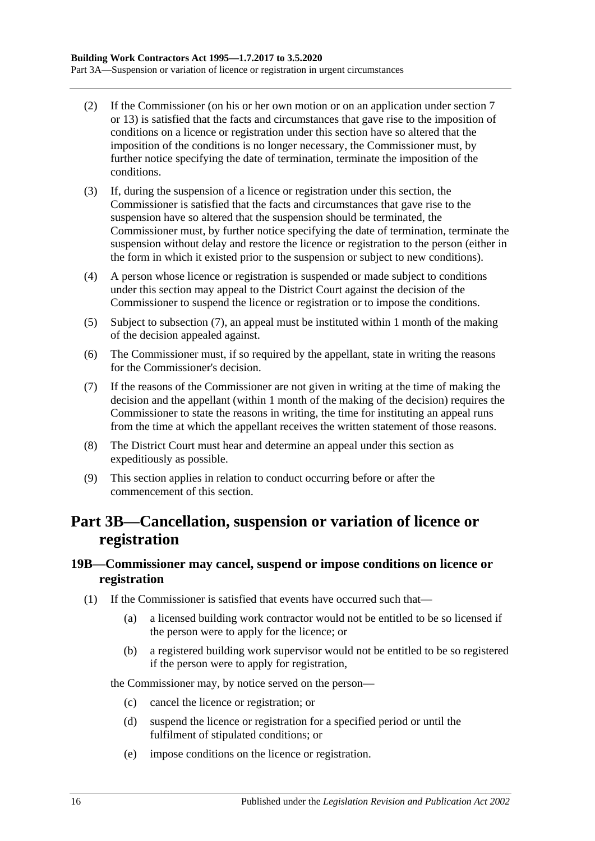- (2) If the Commissioner (on his or her own motion or on an application under [section](#page-5-0) 7 or [13\)](#page-10-0) is satisfied that the facts and circumstances that gave rise to the imposition of conditions on a licence or registration under this section have so altered that the imposition of the conditions is no longer necessary, the Commissioner must, by further notice specifying the date of termination, terminate the imposition of the conditions.
- (3) If, during the suspension of a licence or registration under this section, the Commissioner is satisfied that the facts and circumstances that gave rise to the suspension have so altered that the suspension should be terminated, the Commissioner must, by further notice specifying the date of termination, terminate the suspension without delay and restore the licence or registration to the person (either in the form in which it existed prior to the suspension or subject to new conditions).
- (4) A person whose licence or registration is suspended or made subject to conditions under this section may appeal to the District Court against the decision of the Commissioner to suspend the licence or registration or to impose the conditions.
- (5) Subject to [subsection](#page-15-2) (7), an appeal must be instituted within 1 month of the making of the decision appealed against.
- (6) The Commissioner must, if so required by the appellant, state in writing the reasons for the Commissioner's decision.
- <span id="page-15-2"></span>(7) If the reasons of the Commissioner are not given in writing at the time of making the decision and the appellant (within 1 month of the making of the decision) requires the Commissioner to state the reasons in writing, the time for instituting an appeal runs from the time at which the appellant receives the written statement of those reasons.
- (8) The District Court must hear and determine an appeal under this section as expeditiously as possible.
- (9) This section applies in relation to conduct occurring before or after the commencement of this section.

# <span id="page-15-0"></span>**Part 3B—Cancellation, suspension or variation of licence or registration**

#### <span id="page-15-1"></span>**19B—Commissioner may cancel, suspend or impose conditions on licence or registration**

- (1) If the Commissioner is satisfied that events have occurred such that—
	- (a) a licensed building work contractor would not be entitled to be so licensed if the person were to apply for the licence; or
	- (b) a registered building work supervisor would not be entitled to be so registered if the person were to apply for registration,

the Commissioner may, by notice served on the person—

- (c) cancel the licence or registration; or
- (d) suspend the licence or registration for a specified period or until the fulfilment of stipulated conditions; or
- (e) impose conditions on the licence or registration.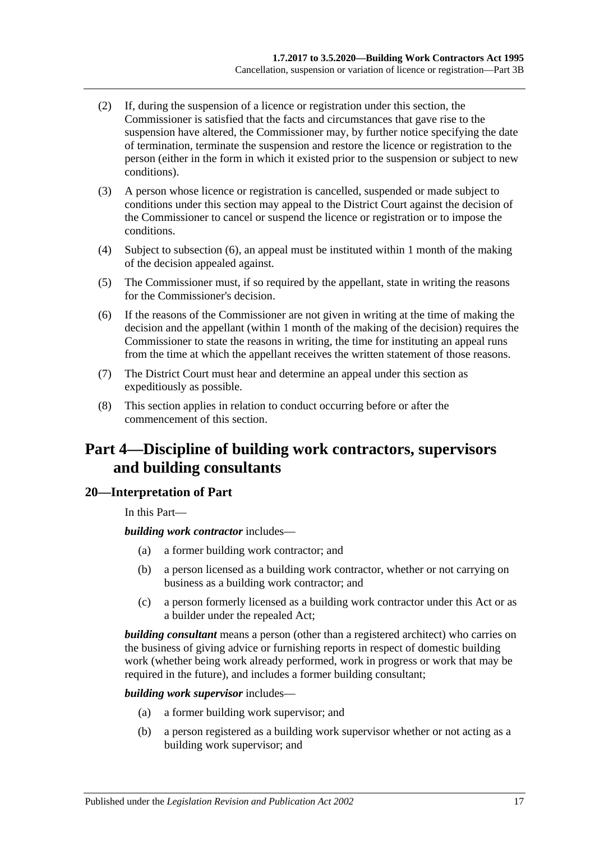- (2) If, during the suspension of a licence or registration under this section, the Commissioner is satisfied that the facts and circumstances that gave rise to the suspension have altered, the Commissioner may, by further notice specifying the date of termination, terminate the suspension and restore the licence or registration to the person (either in the form in which it existed prior to the suspension or subject to new conditions).
- (3) A person whose licence or registration is cancelled, suspended or made subject to conditions under this section may appeal to the District Court against the decision of the Commissioner to cancel or suspend the licence or registration or to impose the conditions.
- (4) Subject to [subsection](#page-16-2) (6), an appeal must be instituted within 1 month of the making of the decision appealed against.
- (5) The Commissioner must, if so required by the appellant, state in writing the reasons for the Commissioner's decision.
- <span id="page-16-2"></span>(6) If the reasons of the Commissioner are not given in writing at the time of making the decision and the appellant (within 1 month of the making of the decision) requires the Commissioner to state the reasons in writing, the time for instituting an appeal runs from the time at which the appellant receives the written statement of those reasons.
- (7) The District Court must hear and determine an appeal under this section as expeditiously as possible.
- (8) This section applies in relation to conduct occurring before or after the commencement of this section.

# <span id="page-16-0"></span>**Part 4—Discipline of building work contractors, supervisors and building consultants**

#### <span id="page-16-1"></span>**20—Interpretation of Part**

In this Part—

#### *building work contractor* includes—

- (a) a former building work contractor; and
- (b) a person licensed as a building work contractor, whether or not carrying on business as a building work contractor; and
- (c) a person formerly licensed as a building work contractor under this Act or as a builder under the repealed Act;

*building consultant* means a person (other than a registered architect) who carries on the business of giving advice or furnishing reports in respect of domestic building work (whether being work already performed, work in progress or work that may be required in the future), and includes a former building consultant;

*building work supervisor* includes—

- (a) a former building work supervisor; and
- (b) a person registered as a building work supervisor whether or not acting as a building work supervisor; and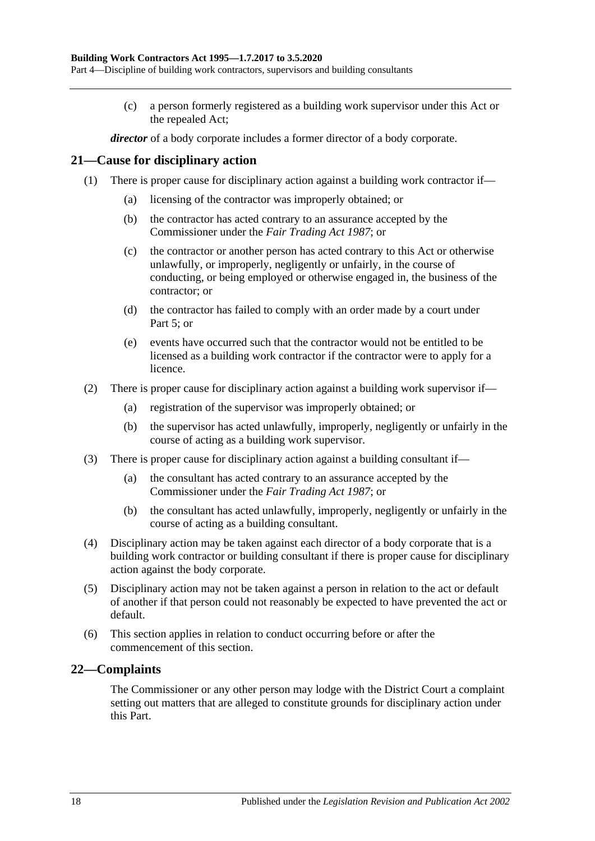(c) a person formerly registered as a building work supervisor under this Act or the repealed Act;

*director* of a body corporate includes a former director of a body corporate.

#### <span id="page-17-0"></span>**21—Cause for disciplinary action**

- (1) There is proper cause for disciplinary action against a building work contractor if—
	- (a) licensing of the contractor was improperly obtained; or
	- (b) the contractor has acted contrary to an assurance accepted by the Commissioner under the *[Fair Trading Act](http://www.legislation.sa.gov.au/index.aspx?action=legref&type=act&legtitle=Fair%20Trading%20Act%201987) 1987*; or
	- (c) the contractor or another person has acted contrary to this Act or otherwise unlawfully, or improperly, negligently or unfairly, in the course of conducting, or being employed or otherwise engaged in, the business of the contractor; or
	- (d) the contractor has failed to comply with an order made by a court under [Part](#page-19-1) 5; or
	- (e) events have occurred such that the contractor would not be entitled to be licensed as a building work contractor if the contractor were to apply for a licence.
- (2) There is proper cause for disciplinary action against a building work supervisor if—
	- (a) registration of the supervisor was improperly obtained; or
	- (b) the supervisor has acted unlawfully, improperly, negligently or unfairly in the course of acting as a building work supervisor.
- (3) There is proper cause for disciplinary action against a building consultant if—
	- (a) the consultant has acted contrary to an assurance accepted by the Commissioner under the *[Fair Trading Act](http://www.legislation.sa.gov.au/index.aspx?action=legref&type=act&legtitle=Fair%20Trading%20Act%201987) 1987*; or
	- (b) the consultant has acted unlawfully, improperly, negligently or unfairly in the course of acting as a building consultant.
- (4) Disciplinary action may be taken against each director of a body corporate that is a building work contractor or building consultant if there is proper cause for disciplinary action against the body corporate.
- (5) Disciplinary action may not be taken against a person in relation to the act or default of another if that person could not reasonably be expected to have prevented the act or default.
- (6) This section applies in relation to conduct occurring before or after the commencement of this section.

## <span id="page-17-1"></span>**22—Complaints**

The Commissioner or any other person may lodge with the District Court a complaint setting out matters that are alleged to constitute grounds for disciplinary action under this Part.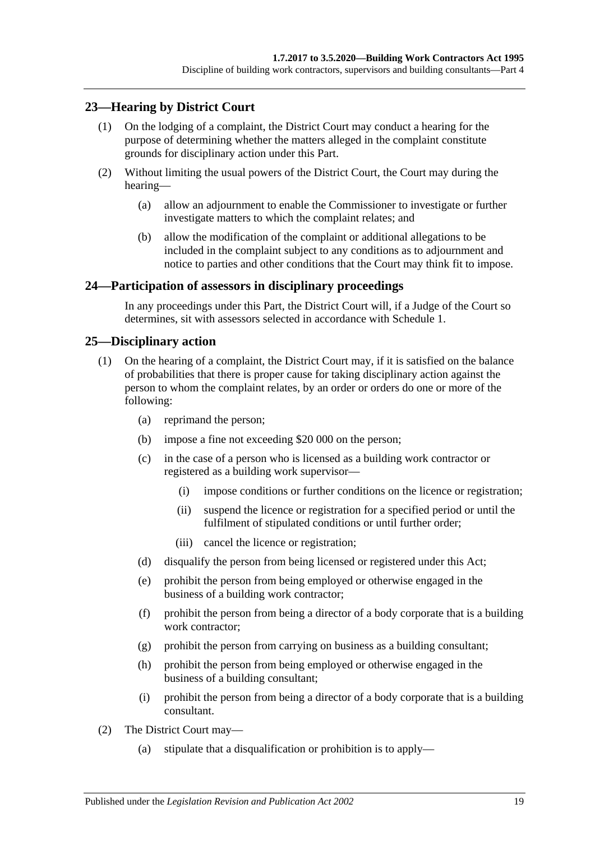### <span id="page-18-0"></span>**23—Hearing by District Court**

- (1) On the lodging of a complaint, the District Court may conduct a hearing for the purpose of determining whether the matters alleged in the complaint constitute grounds for disciplinary action under this Part.
- (2) Without limiting the usual powers of the District Court, the Court may during the hearing—
	- (a) allow an adjournment to enable the Commissioner to investigate or further investigate matters to which the complaint relates; and
	- (b) allow the modification of the complaint or additional allegations to be included in the complaint subject to any conditions as to adjournment and notice to parties and other conditions that the Court may think fit to impose.

#### <span id="page-18-1"></span>**24—Participation of assessors in disciplinary proceedings**

In any proceedings under this Part, the District Court will, if a Judge of the Court so determines, sit with assessors selected in accordance with [Schedule 1.](#page-35-0)

#### <span id="page-18-2"></span>**25—Disciplinary action**

- (1) On the hearing of a complaint, the District Court may, if it is satisfied on the balance of probabilities that there is proper cause for taking disciplinary action against the person to whom the complaint relates, by an order or orders do one or more of the following:
	- (a) reprimand the person;
	- (b) impose a fine not exceeding \$20 000 on the person;
	- (c) in the case of a person who is licensed as a building work contractor or registered as a building work supervisor—
		- (i) impose conditions or further conditions on the licence or registration;
		- (ii) suspend the licence or registration for a specified period or until the fulfilment of stipulated conditions or until further order;
		- (iii) cancel the licence or registration;
	- (d) disqualify the person from being licensed or registered under this Act;
	- (e) prohibit the person from being employed or otherwise engaged in the business of a building work contractor;
	- (f) prohibit the person from being a director of a body corporate that is a building work contractor;
	- (g) prohibit the person from carrying on business as a building consultant;
	- (h) prohibit the person from being employed or otherwise engaged in the business of a building consultant;
	- (i) prohibit the person from being a director of a body corporate that is a building consultant.
- (2) The District Court may—
	- (a) stipulate that a disqualification or prohibition is to apply—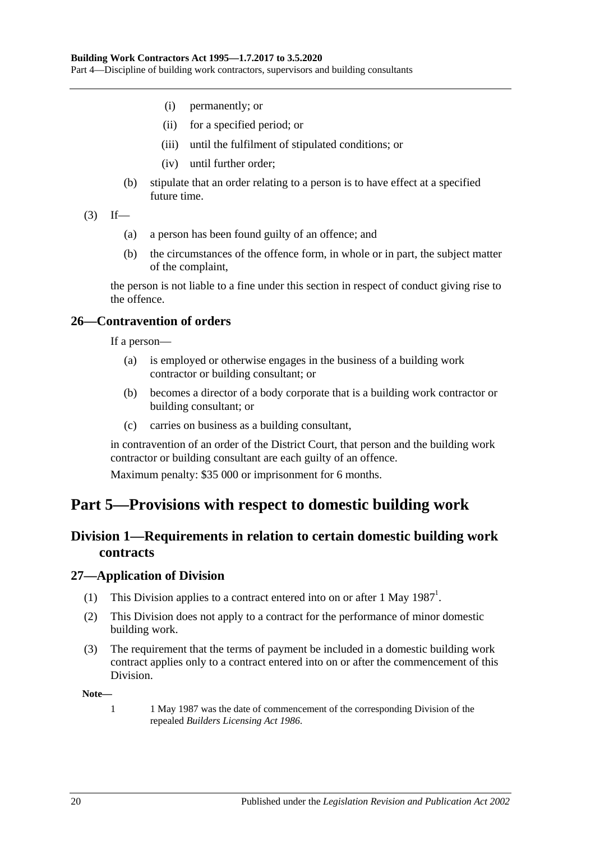Part 4—Discipline of building work contractors, supervisors and building consultants

- (i) permanently; or
- (ii) for a specified period; or
- (iii) until the fulfilment of stipulated conditions; or
- (iv) until further order;
- (b) stipulate that an order relating to a person is to have effect at a specified future time.
- $(3)$  If—
	- (a) a person has been found guilty of an offence; and
	- (b) the circumstances of the offence form, in whole or in part, the subject matter of the complaint,

the person is not liable to a fine under this section in respect of conduct giving rise to the offence.

#### <span id="page-19-0"></span>**26—Contravention of orders**

If a person—

- (a) is employed or otherwise engages in the business of a building work contractor or building consultant; or
- (b) becomes a director of a body corporate that is a building work contractor or building consultant; or
- (c) carries on business as a building consultant,

in contravention of an order of the District Court, that person and the building work contractor or building consultant are each guilty of an offence.

Maximum penalty: \$35 000 or imprisonment for 6 months.

# <span id="page-19-2"></span><span id="page-19-1"></span>**Part 5—Provisions with respect to domestic building work**

## **Division 1—Requirements in relation to certain domestic building work contracts**

#### <span id="page-19-3"></span>**27—Application of Division**

- (1) This Division applies to a contract entered into on or after 1 May  $1987<sup>1</sup>$ .
- (2) This Division does not apply to a contract for the performance of minor domestic building work.
- (3) The requirement that the terms of payment be included in a domestic building work contract applies only to a contract entered into on or after the commencement of this Division.

**Note—**

1 1 May 1987 was the date of commencement of the corresponding Division of the repealed *[Builders Licensing Act](http://www.legislation.sa.gov.au/index.aspx?action=legref&type=act&legtitle=Builders%20Licensing%20Act%201986) 1986*.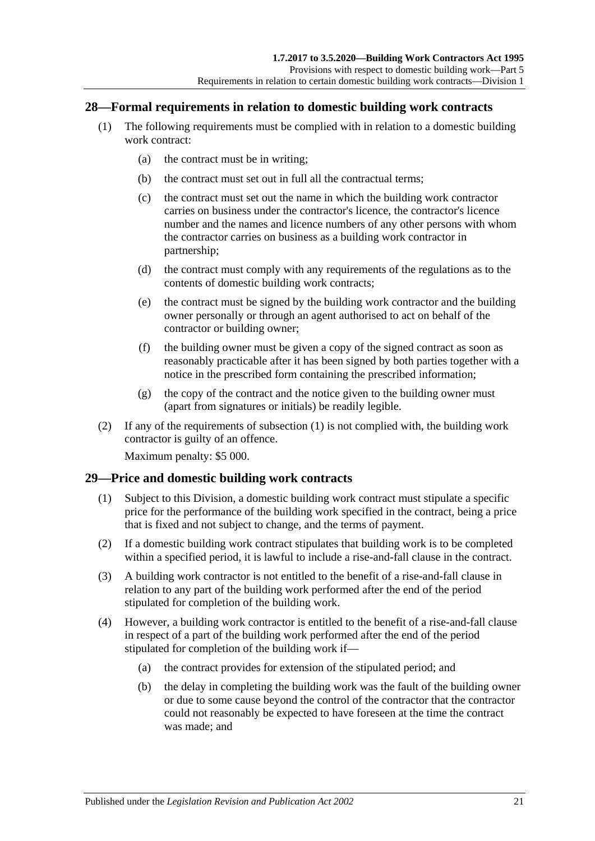#### <span id="page-20-2"></span><span id="page-20-0"></span>**28—Formal requirements in relation to domestic building work contracts**

- (1) The following requirements must be complied with in relation to a domestic building work contract:
	- (a) the contract must be in writing;
	- (b) the contract must set out in full all the contractual terms;
	- (c) the contract must set out the name in which the building work contractor carries on business under the contractor's licence, the contractor's licence number and the names and licence numbers of any other persons with whom the contractor carries on business as a building work contractor in partnership;
	- (d) the contract must comply with any requirements of the regulations as to the contents of domestic building work contracts;
	- (e) the contract must be signed by the building work contractor and the building owner personally or through an agent authorised to act on behalf of the contractor or building owner;
	- (f) the building owner must be given a copy of the signed contract as soon as reasonably practicable after it has been signed by both parties together with a notice in the prescribed form containing the prescribed information;
	- (g) the copy of the contract and the notice given to the building owner must (apart from signatures or initials) be readily legible.
- (2) If any of the requirements of [subsection](#page-20-2) (1) is not complied with, the building work contractor is guilty of an offence.

Maximum penalty: \$5 000.

#### <span id="page-20-1"></span>**29—Price and domestic building work contracts**

- (1) Subject to this Division, a domestic building work contract must stipulate a specific price for the performance of the building work specified in the contract, being a price that is fixed and not subject to change, and the terms of payment.
- (2) If a domestic building work contract stipulates that building work is to be completed within a specified period, it is lawful to include a rise-and-fall clause in the contract.
- (3) A building work contractor is not entitled to the benefit of a rise-and-fall clause in relation to any part of the building work performed after the end of the period stipulated for completion of the building work.
- (4) However, a building work contractor is entitled to the benefit of a rise-and-fall clause in respect of a part of the building work performed after the end of the period stipulated for completion of the building work if—
	- (a) the contract provides for extension of the stipulated period; and
	- (b) the delay in completing the building work was the fault of the building owner or due to some cause beyond the control of the contractor that the contractor could not reasonably be expected to have foreseen at the time the contract was made; and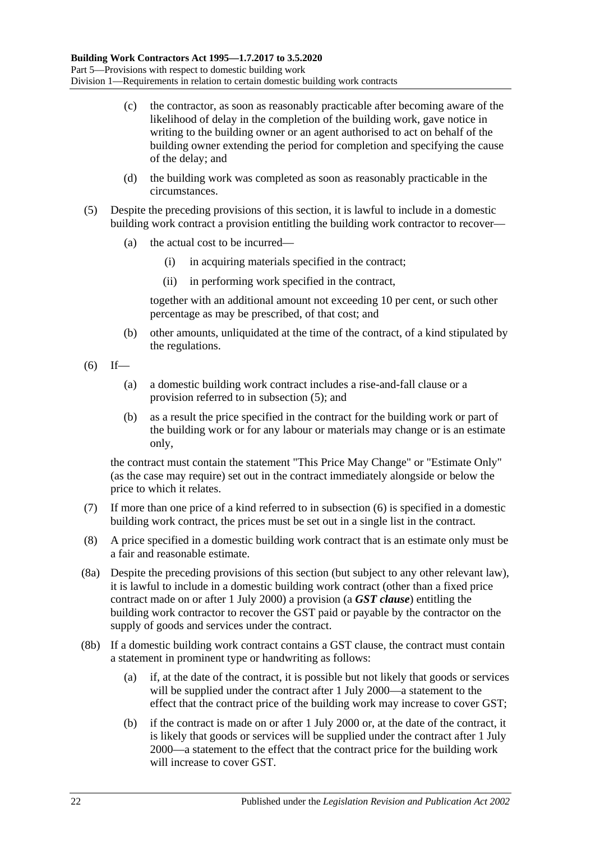- (c) the contractor, as soon as reasonably practicable after becoming aware of the likelihood of delay in the completion of the building work, gave notice in writing to the building owner or an agent authorised to act on behalf of the building owner extending the period for completion and specifying the cause of the delay; and
- (d) the building work was completed as soon as reasonably practicable in the circumstances.
- <span id="page-21-0"></span>(5) Despite the preceding provisions of this section, it is lawful to include in a domestic building work contract a provision entitling the building work contractor to recover—
	- (a) the actual cost to be incurred—
		- (i) in acquiring materials specified in the contract;
		- (ii) in performing work specified in the contract,

together with an additional amount not exceeding 10 per cent, or such other percentage as may be prescribed, of that cost; and

- (b) other amounts, unliquidated at the time of the contract, of a kind stipulated by the regulations.
- <span id="page-21-1"></span> $(6)$  If—
	- (a) a domestic building work contract includes a rise-and-fall clause or a provision referred to in [subsection](#page-21-0) (5); and
	- (b) as a result the price specified in the contract for the building work or part of the building work or for any labour or materials may change or is an estimate only,

the contract must contain the statement "This Price May Change" or "Estimate Only" (as the case may require) set out in the contract immediately alongside or below the price to which it relates.

- (7) If more than one price of a kind referred to in [subsection](#page-21-1) (6) is specified in a domestic building work contract, the prices must be set out in a single list in the contract.
- (8) A price specified in a domestic building work contract that is an estimate only must be a fair and reasonable estimate.
- <span id="page-21-2"></span>(8a) Despite the preceding provisions of this section (but subject to any other relevant law), it is lawful to include in a domestic building work contract (other than a fixed price contract made on or after 1 July 2000) a provision (a *GST clause*) entitling the building work contractor to recover the GST paid or payable by the contractor on the supply of goods and services under the contract.
- (8b) If a domestic building work contract contains a GST clause, the contract must contain a statement in prominent type or handwriting as follows:
	- (a) if, at the date of the contract, it is possible but not likely that goods or services will be supplied under the contract after 1 July 2000—a statement to the effect that the contract price of the building work may increase to cover GST;
	- (b) if the contract is made on or after 1 July 2000 or, at the date of the contract, it is likely that goods or services will be supplied under the contract after 1 July 2000—a statement to the effect that the contract price for the building work will increase to cover GST.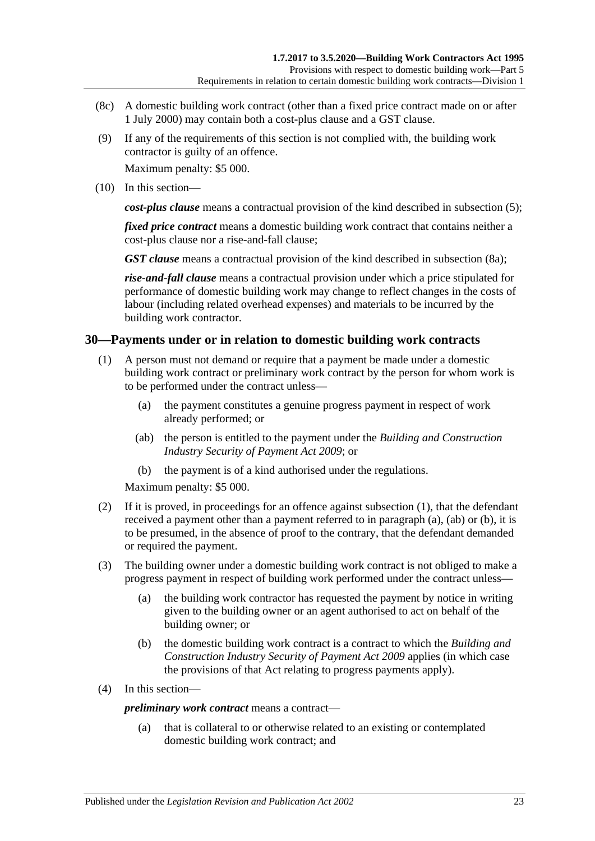- (8c) A domestic building work contract (other than a fixed price contract made on or after 1 July 2000) may contain both a cost-plus clause and a GST clause.
- (9) If any of the requirements of this section is not complied with, the building work contractor is guilty of an offence.

Maximum penalty: \$5 000.

(10) In this section—

*cost-plus clause* means a contractual provision of the kind described in [subsection](#page-21-0) (5);

*fixed price contract* means a domestic building work contract that contains neither a cost-plus clause nor a rise-and-fall clause;

*GST clause* means a contractual provision of the kind described in [subsection](#page-21-2) (8a);

*rise-and-fall clause* means a contractual provision under which a price stipulated for performance of domestic building work may change to reflect changes in the costs of labour (including related overhead expenses) and materials to be incurred by the building work contractor.

#### <span id="page-22-1"></span><span id="page-22-0"></span>**30—Payments under or in relation to domestic building work contracts**

- <span id="page-22-2"></span>(1) A person must not demand or require that a payment be made under a domestic building work contract or preliminary work contract by the person for whom work is to be performed under the contract unless—
	- (a) the payment constitutes a genuine progress payment in respect of work already performed; or
	- (ab) the person is entitled to the payment under the *[Building and Construction](http://www.legislation.sa.gov.au/index.aspx?action=legref&type=act&legtitle=Building%20and%20Construction%20Industry%20Security%20of%20Payment%20Act%202009)  [Industry Security of Payment Act](http://www.legislation.sa.gov.au/index.aspx?action=legref&type=act&legtitle=Building%20and%20Construction%20Industry%20Security%20of%20Payment%20Act%202009) 2009*; or
	- (b) the payment is of a kind authorised under the regulations.

<span id="page-22-3"></span>Maximum penalty: \$5 000.

- <span id="page-22-4"></span>(2) If it is proved, in proceedings for an offence against [subsection](#page-22-1) (1), that the defendant received a payment other than a payment referred to in [paragraph](#page-22-2) (a), [\(ab\)](#page-22-3) or [\(b\),](#page-22-4) it is to be presumed, in the absence of proof to the contrary, that the defendant demanded or required the payment.
- (3) The building owner under a domestic building work contract is not obliged to make a progress payment in respect of building work performed under the contract unless—
	- (a) the building work contractor has requested the payment by notice in writing given to the building owner or an agent authorised to act on behalf of the building owner; or
	- (b) the domestic building work contract is a contract to which the *[Building and](http://www.legislation.sa.gov.au/index.aspx?action=legref&type=act&legtitle=Building%20and%20Construction%20Industry%20Security%20of%20Payment%20Act%202009)  [Construction Industry Security of Payment Act](http://www.legislation.sa.gov.au/index.aspx?action=legref&type=act&legtitle=Building%20and%20Construction%20Industry%20Security%20of%20Payment%20Act%202009) 2009* applies (in which case the provisions of that Act relating to progress payments apply).
- (4) In this section—

*preliminary work contract* means a contract—

(a) that is collateral to or otherwise related to an existing or contemplated domestic building work contract; and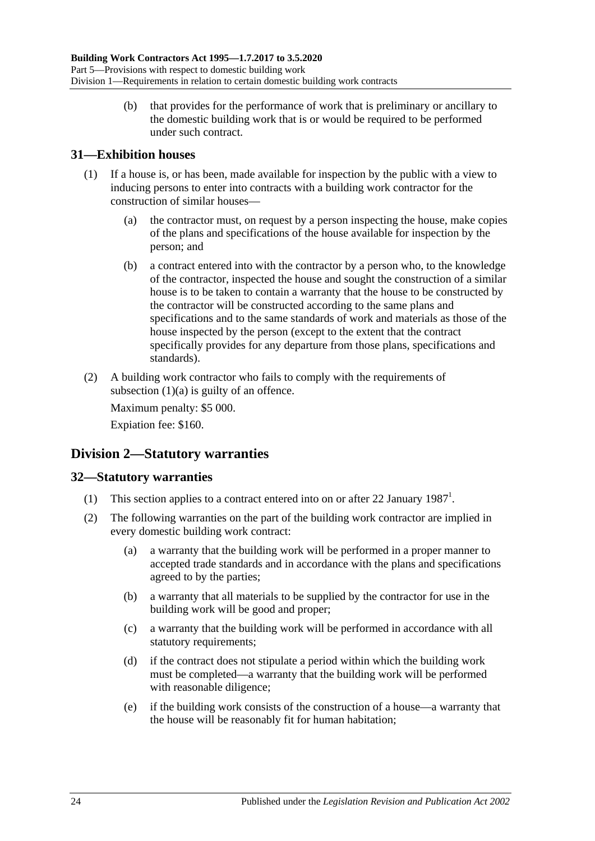(b) that provides for the performance of work that is preliminary or ancillary to the domestic building work that is or would be required to be performed under such contract.

### <span id="page-23-0"></span>**31—Exhibition houses**

- <span id="page-23-3"></span>(1) If a house is, or has been, made available for inspection by the public with a view to inducing persons to enter into contracts with a building work contractor for the construction of similar houses—
	- (a) the contractor must, on request by a person inspecting the house, make copies of the plans and specifications of the house available for inspection by the person; and
	- (b) a contract entered into with the contractor by a person who, to the knowledge of the contractor, inspected the house and sought the construction of a similar house is to be taken to contain a warranty that the house to be constructed by the contractor will be constructed according to the same plans and specifications and to the same standards of work and materials as those of the house inspected by the person (except to the extent that the contract specifically provides for any departure from those plans, specifications and standards).
- (2) A building work contractor who fails to comply with the requirements of [subsection](#page-23-3)  $(1)(a)$  is guilty of an offence.

Maximum penalty: \$5 000.

Expiation fee: \$160.

# <span id="page-23-1"></span>**Division 2—Statutory warranties**

## <span id="page-23-2"></span>**32—Statutory warranties**

- (1) This section applies to a contract entered into on or after 22 January  $1987<sup>1</sup>$ .
- (2) The following warranties on the part of the building work contractor are implied in every domestic building work contract:
	- (a) a warranty that the building work will be performed in a proper manner to accepted trade standards and in accordance with the plans and specifications agreed to by the parties;
	- (b) a warranty that all materials to be supplied by the contractor for use in the building work will be good and proper;
	- (c) a warranty that the building work will be performed in accordance with all statutory requirements;
	- (d) if the contract does not stipulate a period within which the building work must be completed—a warranty that the building work will be performed with reasonable diligence;
	- (e) if the building work consists of the construction of a house—a warranty that the house will be reasonably fit for human habitation;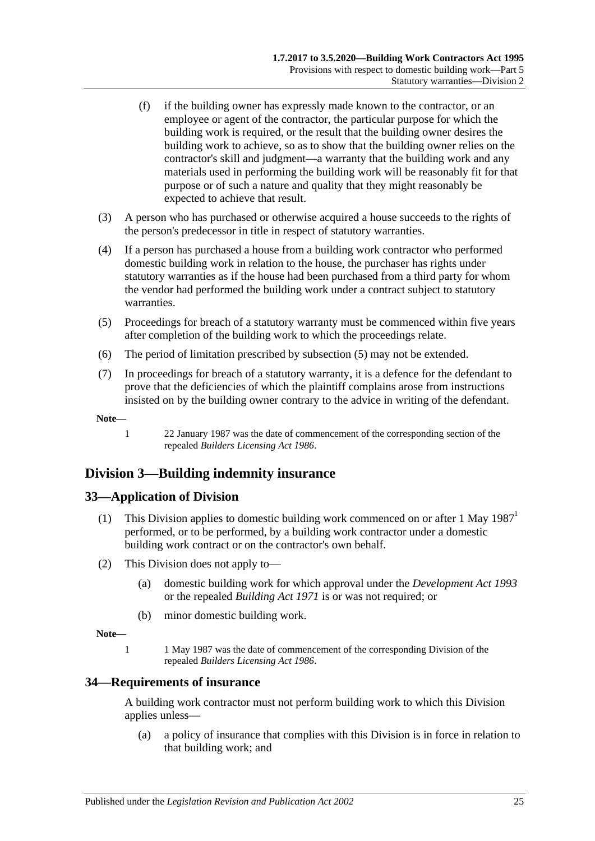- (f) if the building owner has expressly made known to the contractor, or an employee or agent of the contractor, the particular purpose for which the building work is required, or the result that the building owner desires the building work to achieve, so as to show that the building owner relies on the contractor's skill and judgment—a warranty that the building work and any materials used in performing the building work will be reasonably fit for that purpose or of such a nature and quality that they might reasonably be expected to achieve that result.
- (3) A person who has purchased or otherwise acquired a house succeeds to the rights of the person's predecessor in title in respect of statutory warranties.
- (4) If a person has purchased a house from a building work contractor who performed domestic building work in relation to the house, the purchaser has rights under statutory warranties as if the house had been purchased from a third party for whom the vendor had performed the building work under a contract subject to statutory warranties.
- <span id="page-24-3"></span>(5) Proceedings for breach of a statutory warranty must be commenced within five years after completion of the building work to which the proceedings relate.
- (6) The period of limitation prescribed by [subsection](#page-24-3) (5) may not be extended.
- (7) In proceedings for breach of a statutory warranty, it is a defence for the defendant to prove that the deficiencies of which the plaintiff complains arose from instructions insisted on by the building owner contrary to the advice in writing of the defendant.

**Note—**

1 22 January 1987 was the date of commencement of the corresponding section of the repealed *[Builders Licensing Act](http://www.legislation.sa.gov.au/index.aspx?action=legref&type=act&legtitle=Builders%20Licensing%20Act%201986) 1986*.

# <span id="page-24-0"></span>**Division 3—Building indemnity insurance**

#### <span id="page-24-1"></span>**33—Application of Division**

- (1) This Division applies to domestic building work commenced on or after 1 May 1987<sup>1</sup> performed, or to be performed, by a building work contractor under a domestic building work contract or on the contractor's own behalf.
- (2) This Division does not apply to—
	- (a) domestic building work for which approval under the *[Development Act](http://www.legislation.sa.gov.au/index.aspx?action=legref&type=act&legtitle=Development%20Act%201993) 1993* or the repealed *[Building Act](http://www.legislation.sa.gov.au/index.aspx?action=legref&type=act&legtitle=Building%20Act%201971) 1971* is or was not required; or
	- (b) minor domestic building work.

**Note—**

1 1 May 1987 was the date of commencement of the corresponding Division of the repealed *[Builders Licensing Act](http://www.legislation.sa.gov.au/index.aspx?action=legref&type=act&legtitle=Builders%20Licensing%20Act%201986) 1986*.

#### <span id="page-24-2"></span>**34—Requirements of insurance**

A building work contractor must not perform building work to which this Division applies unless—

(a) a policy of insurance that complies with this Division is in force in relation to that building work; and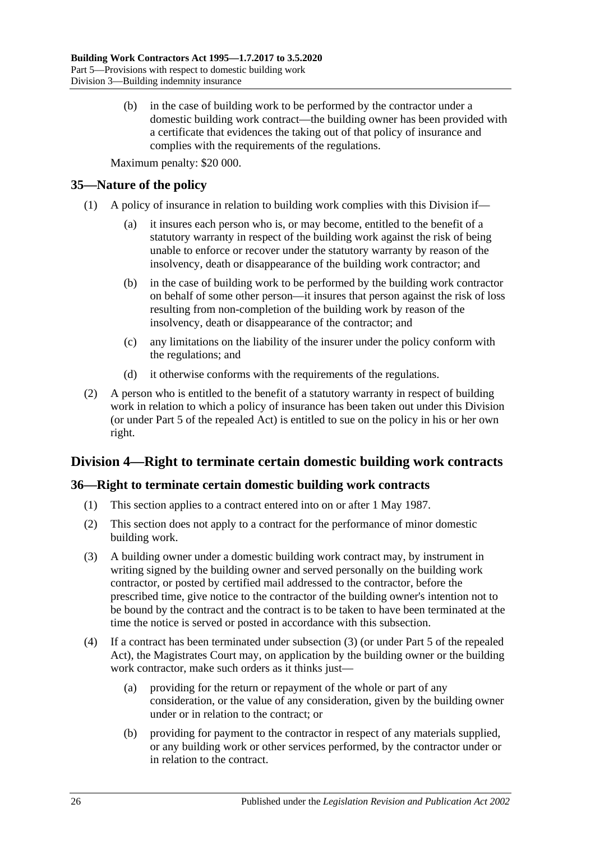(b) in the case of building work to be performed by the contractor under a domestic building work contract—the building owner has been provided with a certificate that evidences the taking out of that policy of insurance and complies with the requirements of the regulations.

Maximum penalty: \$20 000.

#### <span id="page-25-0"></span>**35—Nature of the policy**

- (1) A policy of insurance in relation to building work complies with this Division if—
	- (a) it insures each person who is, or may become, entitled to the benefit of a statutory warranty in respect of the building work against the risk of being unable to enforce or recover under the statutory warranty by reason of the insolvency, death or disappearance of the building work contractor; and
	- (b) in the case of building work to be performed by the building work contractor on behalf of some other person—it insures that person against the risk of loss resulting from non-completion of the building work by reason of the insolvency, death or disappearance of the contractor; and
	- (c) any limitations on the liability of the insurer under the policy conform with the regulations; and
	- (d) it otherwise conforms with the requirements of the regulations.
- (2) A person who is entitled to the benefit of a statutory warranty in respect of building work in relation to which a policy of insurance has been taken out under this Division (or under Part 5 of the repealed Act) is entitled to sue on the policy in his or her own right.

# <span id="page-25-1"></span>**Division 4—Right to terminate certain domestic building work contracts**

#### <span id="page-25-2"></span>**36—Right to terminate certain domestic building work contracts**

- (1) This section applies to a contract entered into on or after 1 May 1987.
- (2) This section does not apply to a contract for the performance of minor domestic building work.
- <span id="page-25-3"></span>(3) A building owner under a domestic building work contract may, by instrument in writing signed by the building owner and served personally on the building work contractor, or posted by certified mail addressed to the contractor, before the prescribed time, give notice to the contractor of the building owner's intention not to be bound by the contract and the contract is to be taken to have been terminated at the time the notice is served or posted in accordance with this subsection.
- (4) If a contract has been terminated under [subsection](#page-25-3) (3) (or under Part 5 of the repealed Act), the Magistrates Court may, on application by the building owner or the building work contractor, make such orders as it thinks just—
	- (a) providing for the return or repayment of the whole or part of any consideration, or the value of any consideration, given by the building owner under or in relation to the contract; or
	- (b) providing for payment to the contractor in respect of any materials supplied, or any building work or other services performed, by the contractor under or in relation to the contract.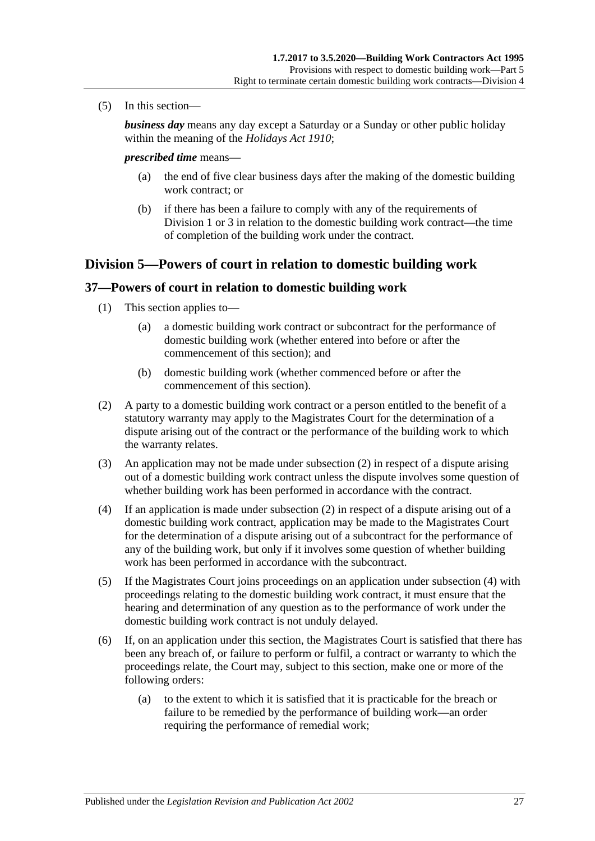(5) In this section—

*business day* means any day except a Saturday or a Sunday or other public holiday within the meaning of the *[Holidays Act](http://www.legislation.sa.gov.au/index.aspx?action=legref&type=act&legtitle=Holidays%20Act%201910) 1910*;

#### *prescribed time* means—

- (a) the end of five clear business days after the making of the domestic building work contract; or
- (b) if there has been a failure to comply with any of the requirements of [Division](#page-19-2) 1 or [3](#page-24-0) in relation to the domestic building work contract—the time of completion of the building work under the contract.

#### <span id="page-26-0"></span>**Division 5—Powers of court in relation to domestic building work**

#### <span id="page-26-1"></span>**37—Powers of court in relation to domestic building work**

- (1) This section applies to—
	- (a) a domestic building work contract or subcontract for the performance of domestic building work (whether entered into before or after the commencement of this section); and
	- (b) domestic building work (whether commenced before or after the commencement of this section).
- <span id="page-26-2"></span>(2) A party to a domestic building work contract or a person entitled to the benefit of a statutory warranty may apply to the Magistrates Court for the determination of a dispute arising out of the contract or the performance of the building work to which the warranty relates.
- (3) An application may not be made under [subsection](#page-26-2) (2) in respect of a dispute arising out of a domestic building work contract unless the dispute involves some question of whether building work has been performed in accordance with the contract.
- <span id="page-26-3"></span>(4) If an application is made under [subsection](#page-26-2) (2) in respect of a dispute arising out of a domestic building work contract, application may be made to the Magistrates Court for the determination of a dispute arising out of a subcontract for the performance of any of the building work, but only if it involves some question of whether building work has been performed in accordance with the subcontract.
- (5) If the Magistrates Court joins proceedings on an application under [subsection](#page-26-3) (4) with proceedings relating to the domestic building work contract, it must ensure that the hearing and determination of any question as to the performance of work under the domestic building work contract is not unduly delayed.
- <span id="page-26-4"></span>(6) If, on an application under this section, the Magistrates Court is satisfied that there has been any breach of, or failure to perform or fulfil, a contract or warranty to which the proceedings relate, the Court may, subject to this section, make one or more of the following orders:
	- (a) to the extent to which it is satisfied that it is practicable for the breach or failure to be remedied by the performance of building work—an order requiring the performance of remedial work;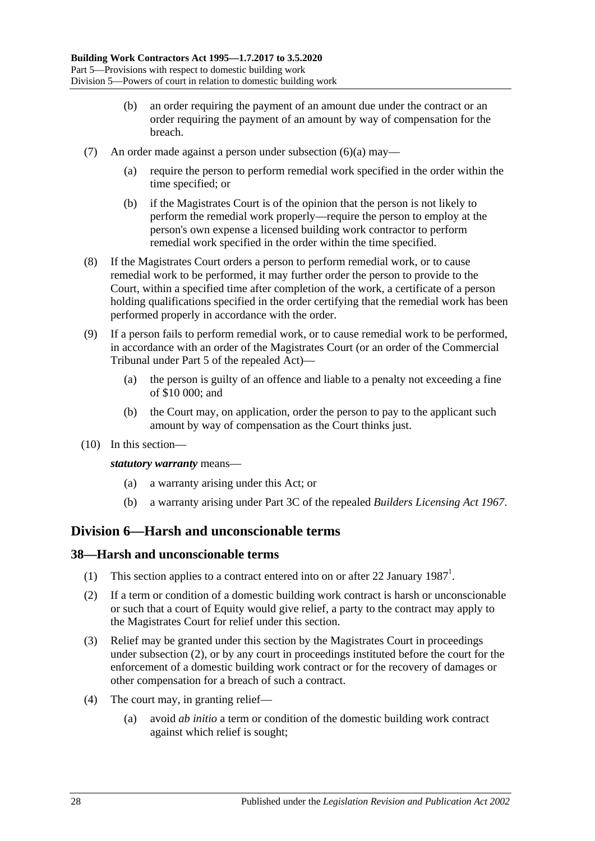- (b) an order requiring the payment of an amount due under the contract or an order requiring the payment of an amount by way of compensation for the breach.
- (7) An order made against a person under [subsection](#page-26-4) (6)(a) may—
	- (a) require the person to perform remedial work specified in the order within the time specified; or
	- (b) if the Magistrates Court is of the opinion that the person is not likely to perform the remedial work properly—require the person to employ at the person's own expense a licensed building work contractor to perform remedial work specified in the order within the time specified.
- (8) If the Magistrates Court orders a person to perform remedial work, or to cause remedial work to be performed, it may further order the person to provide to the Court, within a specified time after completion of the work, a certificate of a person holding qualifications specified in the order certifying that the remedial work has been performed properly in accordance with the order.
- (9) If a person fails to perform remedial work, or to cause remedial work to be performed, in accordance with an order of the Magistrates Court (or an order of the Commercial Tribunal under Part 5 of the repealed Act)—
	- (a) the person is guilty of an offence and liable to a penalty not exceeding a fine of \$10 000; and
	- (b) the Court may, on application, order the person to pay to the applicant such amount by way of compensation as the Court thinks just.
- (10) In this section—

*statutory warranty* means—

- (a) a warranty arising under this Act; or
- (b) a warranty arising under Part 3C of the repealed *[Builders Licensing Act](http://www.legislation.sa.gov.au/index.aspx?action=legref&type=act&legtitle=Builders%20Licensing%20Act%201967) 1967*.

# <span id="page-27-0"></span>**Division 6—Harsh and unconscionable terms**

#### <span id="page-27-1"></span>**38—Harsh and unconscionable terms**

- (1) This section applies to a contract entered into on or after 22 January  $1987<sup>1</sup>$ .
- <span id="page-27-2"></span>(2) If a term or condition of a domestic building work contract is harsh or unconscionable or such that a court of Equity would give relief, a party to the contract may apply to the Magistrates Court for relief under this section.
- (3) Relief may be granted under this section by the Magistrates Court in proceedings under [subsection](#page-27-2) (2), or by any court in proceedings instituted before the court for the enforcement of a domestic building work contract or for the recovery of damages or other compensation for a breach of such a contract.
- (4) The court may, in granting relief—
	- (a) avoid *ab initio* a term or condition of the domestic building work contract against which relief is sought;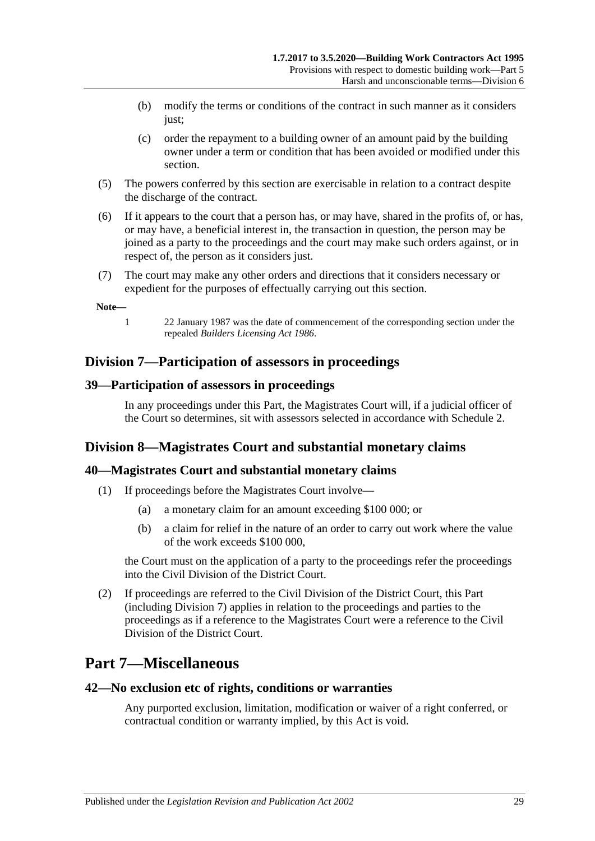- (b) modify the terms or conditions of the contract in such manner as it considers just;
- (c) order the repayment to a building owner of an amount paid by the building owner under a term or condition that has been avoided or modified under this section.
- (5) The powers conferred by this section are exercisable in relation to a contract despite the discharge of the contract.
- (6) If it appears to the court that a person has, or may have, shared in the profits of, or has, or may have, a beneficial interest in, the transaction in question, the person may be joined as a party to the proceedings and the court may make such orders against, or in respect of, the person as it considers just.
- (7) The court may make any other orders and directions that it considers necessary or expedient for the purposes of effectually carrying out this section.

#### **Note—**

- 
- 1 22 January 1987 was the date of commencement of the corresponding section under the repealed *[Builders Licensing Act](http://www.legislation.sa.gov.au/index.aspx?action=legref&type=act&legtitle=Builders%20Licensing%20Act%201986) 1986*.

## <span id="page-28-0"></span>**Division 7—Participation of assessors in proceedings**

#### <span id="page-28-1"></span>**39—Participation of assessors in proceedings**

In any proceedings under this Part, the Magistrates Court will, if a judicial officer of the Court so determines, sit with assessors selected in accordance with [Schedule 2.](#page-36-0)

# <span id="page-28-2"></span>**Division 8—Magistrates Court and substantial monetary claims**

#### <span id="page-28-3"></span>**40—Magistrates Court and substantial monetary claims**

- (1) If proceedings before the Magistrates Court involve—
	- (a) a monetary claim for an amount exceeding \$100 000; or
	- (b) a claim for relief in the nature of an order to carry out work where the value of the work exceeds \$100 000,

the Court must on the application of a party to the proceedings refer the proceedings into the Civil Division of the District Court.

(2) If proceedings are referred to the Civil Division of the District Court, this Part (including [Division 7\)](#page-28-0) applies in relation to the proceedings and parties to the proceedings as if a reference to the Magistrates Court were a reference to the Civil Division of the District Court.

# <span id="page-28-4"></span>**Part 7—Miscellaneous**

#### <span id="page-28-5"></span>**42—No exclusion etc of rights, conditions or warranties**

Any purported exclusion, limitation, modification or waiver of a right conferred, or contractual condition or warranty implied, by this Act is void.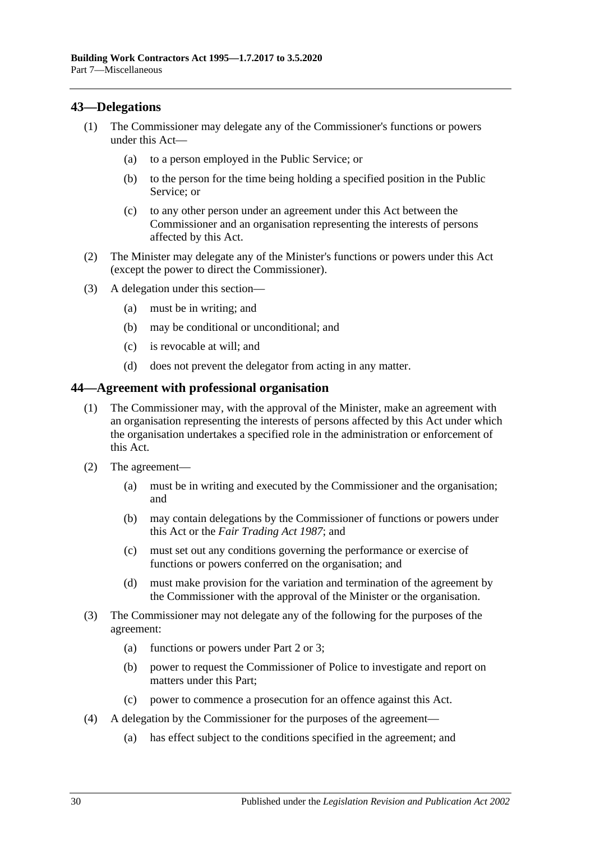#### <span id="page-29-0"></span>**43—Delegations**

- (1) The Commissioner may delegate any of the Commissioner's functions or powers under this Act—
	- (a) to a person employed in the Public Service; or
	- (b) to the person for the time being holding a specified position in the Public Service; or
	- (c) to any other person under an agreement under this Act between the Commissioner and an organisation representing the interests of persons affected by this Act.
- (2) The Minister may delegate any of the Minister's functions or powers under this Act (except the power to direct the Commissioner).
- (3) A delegation under this section—
	- (a) must be in writing; and
	- (b) may be conditional or unconditional; and
	- (c) is revocable at will; and
	- (d) does not prevent the delegator from acting in any matter.

#### <span id="page-29-1"></span>**44—Agreement with professional organisation**

- (1) The Commissioner may, with the approval of the Minister, make an agreement with an organisation representing the interests of persons affected by this Act under which the organisation undertakes a specified role in the administration or enforcement of this Act.
- (2) The agreement—
	- (a) must be in writing and executed by the Commissioner and the organisation; and
	- (b) may contain delegations by the Commissioner of functions or powers under this Act or the *[Fair Trading Act](http://www.legislation.sa.gov.au/index.aspx?action=legref&type=act&legtitle=Fair%20Trading%20Act%201987) 1987*; and
	- (c) must set out any conditions governing the performance or exercise of functions or powers conferred on the organisation; and
	- (d) must make provision for the variation and termination of the agreement by the Commissioner with the approval of the Minister or the organisation.
- (3) The Commissioner may not delegate any of the following for the purposes of the agreement:
	- (a) functions or powers under [Part 2](#page-4-2) or [3;](#page-9-2)
	- (b) power to request the Commissioner of Police to investigate and report on matters under this Part;
	- (c) power to commence a prosecution for an offence against this Act.
- (4) A delegation by the Commissioner for the purposes of the agreement—
	- (a) has effect subject to the conditions specified in the agreement; and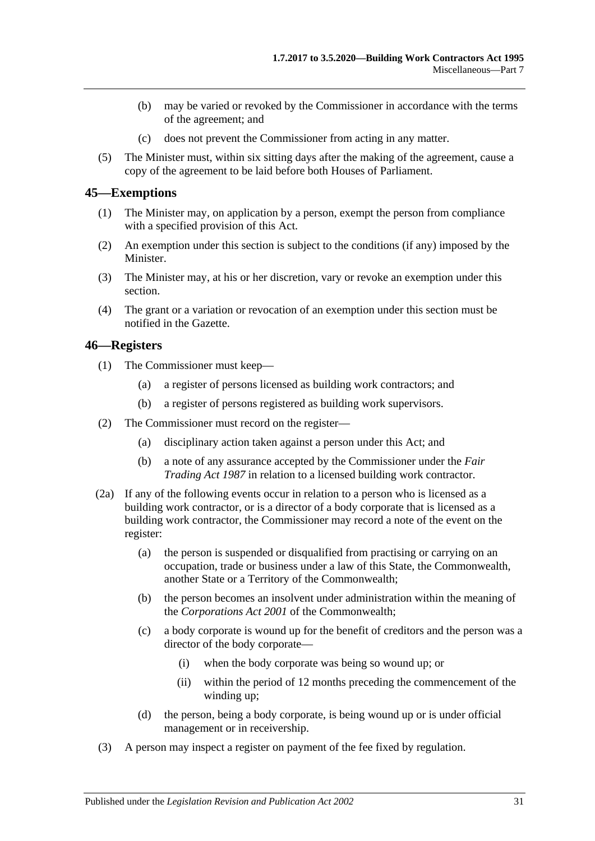- (b) may be varied or revoked by the Commissioner in accordance with the terms of the agreement; and
- (c) does not prevent the Commissioner from acting in any matter.
- (5) The Minister must, within six sitting days after the making of the agreement, cause a copy of the agreement to be laid before both Houses of Parliament.

#### <span id="page-30-0"></span>**45—Exemptions**

- (1) The Minister may, on application by a person, exempt the person from compliance with a specified provision of this Act.
- (2) An exemption under this section is subject to the conditions (if any) imposed by the Minister.
- (3) The Minister may, at his or her discretion, vary or revoke an exemption under this section.
- (4) The grant or a variation or revocation of an exemption under this section must be notified in the Gazette.

#### <span id="page-30-1"></span>**46—Registers**

- (1) The Commissioner must keep—
	- (a) a register of persons licensed as building work contractors; and
	- (b) a register of persons registered as building work supervisors.
- (2) The Commissioner must record on the register—
	- (a) disciplinary action taken against a person under this Act; and
	- (b) a note of any assurance accepted by the Commissioner under the *[Fair](http://www.legislation.sa.gov.au/index.aspx?action=legref&type=act&legtitle=Fair%20Trading%20Act%201987)  [Trading Act](http://www.legislation.sa.gov.au/index.aspx?action=legref&type=act&legtitle=Fair%20Trading%20Act%201987) 1987* in relation to a licensed building work contractor.
- (2a) If any of the following events occur in relation to a person who is licensed as a building work contractor, or is a director of a body corporate that is licensed as a building work contractor, the Commissioner may record a note of the event on the register:
	- (a) the person is suspended or disqualified from practising or carrying on an occupation, trade or business under a law of this State, the Commonwealth, another State or a Territory of the Commonwealth;
	- (b) the person becomes an insolvent under administration within the meaning of the *Corporations Act 2001* of the Commonwealth;
	- (c) a body corporate is wound up for the benefit of creditors and the person was a director of the body corporate—
		- (i) when the body corporate was being so wound up; or
		- (ii) within the period of 12 months preceding the commencement of the winding up;
	- (d) the person, being a body corporate, is being wound up or is under official management or in receivership.
- (3) A person may inspect a register on payment of the fee fixed by regulation.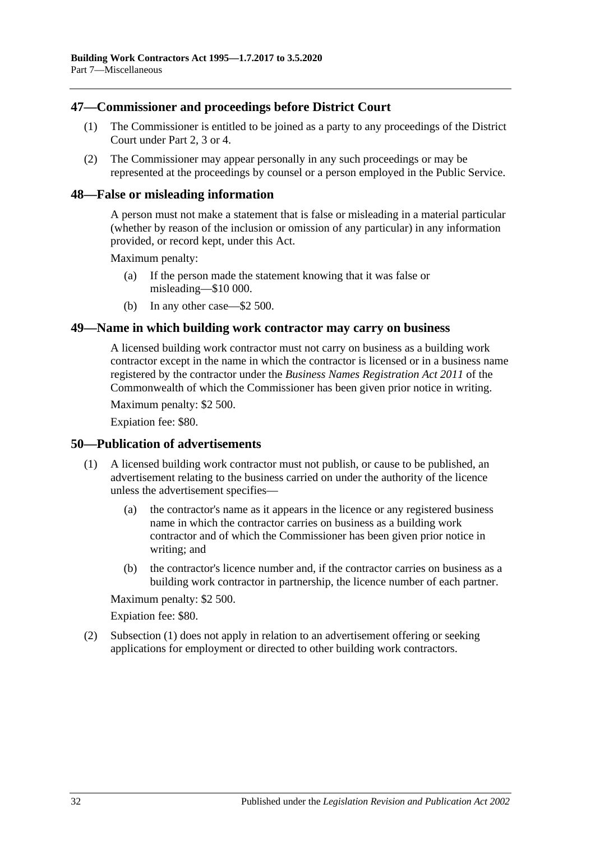#### <span id="page-31-0"></span>**47—Commissioner and proceedings before District Court**

- (1) The Commissioner is entitled to be joined as a party to any proceedings of the District Court under [Part 2,](#page-4-2) [3](#page-9-2) or [4.](#page-16-0)
- (2) The Commissioner may appear personally in any such proceedings or may be represented at the proceedings by counsel or a person employed in the Public Service.

#### <span id="page-31-1"></span>**48—False or misleading information**

A person must not make a statement that is false or misleading in a material particular (whether by reason of the inclusion or omission of any particular) in any information provided, or record kept, under this Act.

Maximum penalty:

- (a) If the person made the statement knowing that it was false or misleading—\$10 000.
- (b) In any other case—\$2 500.

#### <span id="page-31-2"></span>**49—Name in which building work contractor may carry on business**

A licensed building work contractor must not carry on business as a building work contractor except in the name in which the contractor is licensed or in a business name registered by the contractor under the *Business Names Registration Act 2011* of the Commonwealth of which the Commissioner has been given prior notice in writing.

Maximum penalty: \$2 500.

Expiation fee: \$80.

#### <span id="page-31-4"></span><span id="page-31-3"></span>**50—Publication of advertisements**

- (1) A licensed building work contractor must not publish, or cause to be published, an advertisement relating to the business carried on under the authority of the licence unless the advertisement specifies—
	- (a) the contractor's name as it appears in the licence or any registered business name in which the contractor carries on business as a building work contractor and of which the Commissioner has been given prior notice in writing; and
	- (b) the contractor's licence number and, if the contractor carries on business as a building work contractor in partnership, the licence number of each partner.

Maximum penalty: \$2 500.

Expiation fee: \$80.

(2) [Subsection](#page-31-4) (1) does not apply in relation to an advertisement offering or seeking applications for employment or directed to other building work contractors.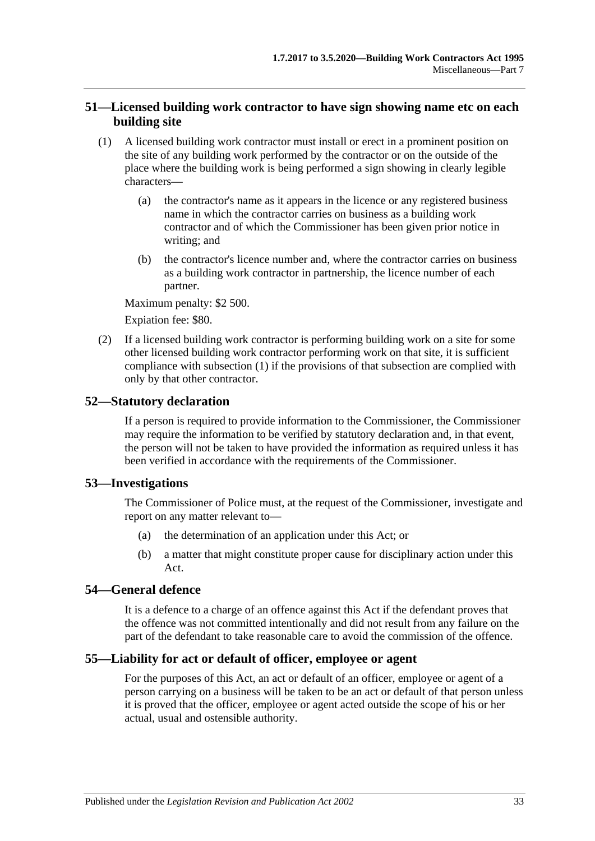#### <span id="page-32-0"></span>**51—Licensed building work contractor to have sign showing name etc on each building site**

- <span id="page-32-5"></span>(1) A licensed building work contractor must install or erect in a prominent position on the site of any building work performed by the contractor or on the outside of the place where the building work is being performed a sign showing in clearly legible characters—
	- (a) the contractor's name as it appears in the licence or any registered business name in which the contractor carries on business as a building work contractor and of which the Commissioner has been given prior notice in writing; and
	- (b) the contractor's licence number and, where the contractor carries on business as a building work contractor in partnership, the licence number of each partner.

Maximum penalty: \$2 500.

Expiation fee: \$80.

(2) If a licensed building work contractor is performing building work on a site for some other licensed building work contractor performing work on that site, it is sufficient compliance with [subsection](#page-32-5) (1) if the provisions of that subsection are complied with only by that other contractor.

#### <span id="page-32-1"></span>**52—Statutory declaration**

If a person is required to provide information to the Commissioner, the Commissioner may require the information to be verified by statutory declaration and, in that event, the person will not be taken to have provided the information as required unless it has been verified in accordance with the requirements of the Commissioner.

#### <span id="page-32-2"></span>**53—Investigations**

The Commissioner of Police must, at the request of the Commissioner, investigate and report on any matter relevant to—

- (a) the determination of an application under this Act; or
- (b) a matter that might constitute proper cause for disciplinary action under this Act.

#### <span id="page-32-3"></span>**54—General defence**

It is a defence to a charge of an offence against this Act if the defendant proves that the offence was not committed intentionally and did not result from any failure on the part of the defendant to take reasonable care to avoid the commission of the offence.

#### <span id="page-32-4"></span>**55—Liability for act or default of officer, employee or agent**

For the purposes of this Act, an act or default of an officer, employee or agent of a person carrying on a business will be taken to be an act or default of that person unless it is proved that the officer, employee or agent acted outside the scope of his or her actual, usual and ostensible authority.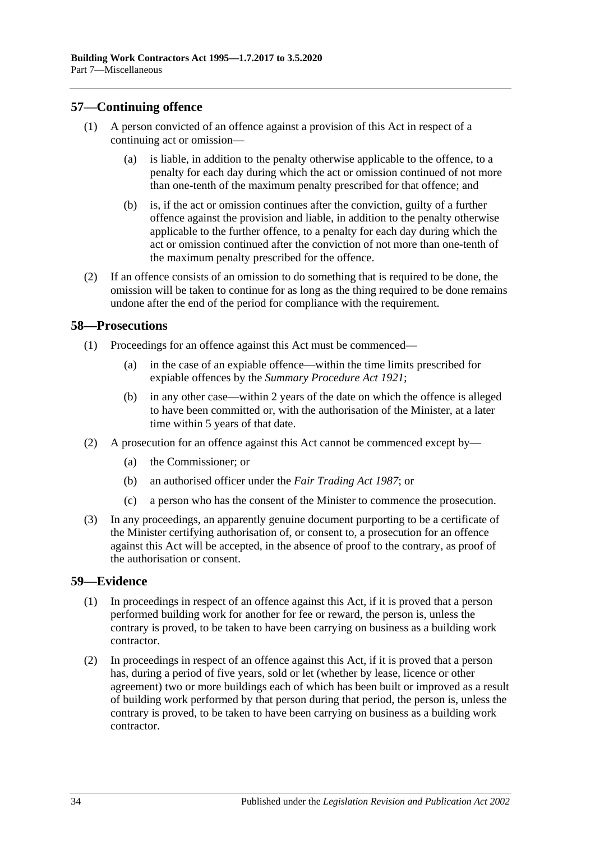#### <span id="page-33-0"></span>**57—Continuing offence**

- (1) A person convicted of an offence against a provision of this Act in respect of a continuing act or omission—
	- (a) is liable, in addition to the penalty otherwise applicable to the offence, to a penalty for each day during which the act or omission continued of not more than one-tenth of the maximum penalty prescribed for that offence; and
	- (b) is, if the act or omission continues after the conviction, guilty of a further offence against the provision and liable, in addition to the penalty otherwise applicable to the further offence, to a penalty for each day during which the act or omission continued after the conviction of not more than one-tenth of the maximum penalty prescribed for the offence.
- (2) If an offence consists of an omission to do something that is required to be done, the omission will be taken to continue for as long as the thing required to be done remains undone after the end of the period for compliance with the requirement.

#### <span id="page-33-1"></span>**58—Prosecutions**

- (1) Proceedings for an offence against this Act must be commenced—
	- (a) in the case of an expiable offence—within the time limits prescribed for expiable offences by the *[Summary Procedure Act](http://www.legislation.sa.gov.au/index.aspx?action=legref&type=act&legtitle=Summary%20Procedure%20Act%201921) 1921*;
	- (b) in any other case—within 2 years of the date on which the offence is alleged to have been committed or, with the authorisation of the Minister, at a later time within 5 years of that date.
- (2) A prosecution for an offence against this Act cannot be commenced except by—
	- (a) the Commissioner; or
	- (b) an authorised officer under the *[Fair Trading Act](http://www.legislation.sa.gov.au/index.aspx?action=legref&type=act&legtitle=Fair%20Trading%20Act%201987) 1987*; or
	- (c) a person who has the consent of the Minister to commence the prosecution.
- (3) In any proceedings, an apparently genuine document purporting to be a certificate of the Minister certifying authorisation of, or consent to, a prosecution for an offence against this Act will be accepted, in the absence of proof to the contrary, as proof of the authorisation or consent.

#### <span id="page-33-2"></span>**59—Evidence**

- (1) In proceedings in respect of an offence against this Act, if it is proved that a person performed building work for another for fee or reward, the person is, unless the contrary is proved, to be taken to have been carrying on business as a building work contractor.
- (2) In proceedings in respect of an offence against this Act, if it is proved that a person has, during a period of five years, sold or let (whether by lease, licence or other agreement) two or more buildings each of which has been built or improved as a result of building work performed by that person during that period, the person is, unless the contrary is proved, to be taken to have been carrying on business as a building work contractor.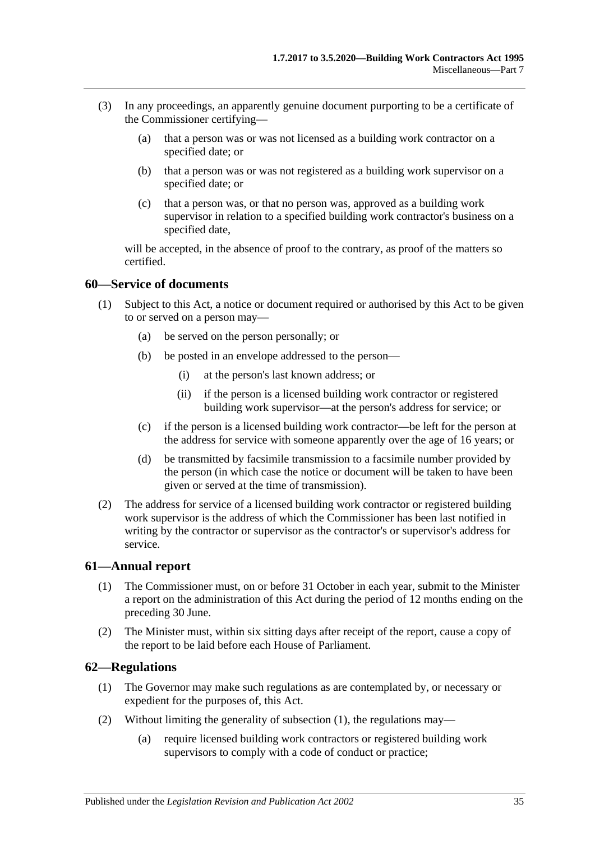- (3) In any proceedings, an apparently genuine document purporting to be a certificate of the Commissioner certifying—
	- (a) that a person was or was not licensed as a building work contractor on a specified date; or
	- (b) that a person was or was not registered as a building work supervisor on a specified date; or
	- (c) that a person was, or that no person was, approved as a building work supervisor in relation to a specified building work contractor's business on a specified date,

will be accepted, in the absence of proof to the contrary, as proof of the matters so certified.

#### <span id="page-34-0"></span>**60—Service of documents**

- (1) Subject to this Act, a notice or document required or authorised by this Act to be given to or served on a person may—
	- (a) be served on the person personally; or
	- (b) be posted in an envelope addressed to the person—
		- (i) at the person's last known address; or
		- (ii) if the person is a licensed building work contractor or registered building work supervisor—at the person's address for service; or
	- (c) if the person is a licensed building work contractor—be left for the person at the address for service with someone apparently over the age of 16 years; or
	- (d) be transmitted by facsimile transmission to a facsimile number provided by the person (in which case the notice or document will be taken to have been given or served at the time of transmission).
- (2) The address for service of a licensed building work contractor or registered building work supervisor is the address of which the Commissioner has been last notified in writing by the contractor or supervisor as the contractor's or supervisor's address for service.

#### <span id="page-34-1"></span>**61—Annual report**

- (1) The Commissioner must, on or before 31 October in each year, submit to the Minister a report on the administration of this Act during the period of 12 months ending on the preceding 30 June.
- (2) The Minister must, within six sitting days after receipt of the report, cause a copy of the report to be laid before each House of Parliament.

#### <span id="page-34-3"></span><span id="page-34-2"></span>**62—Regulations**

- (1) The Governor may make such regulations as are contemplated by, or necessary or expedient for the purposes of, this Act.
- (2) Without limiting the generality of [subsection](#page-34-3) (1), the regulations may—
	- (a) require licensed building work contractors or registered building work supervisors to comply with a code of conduct or practice;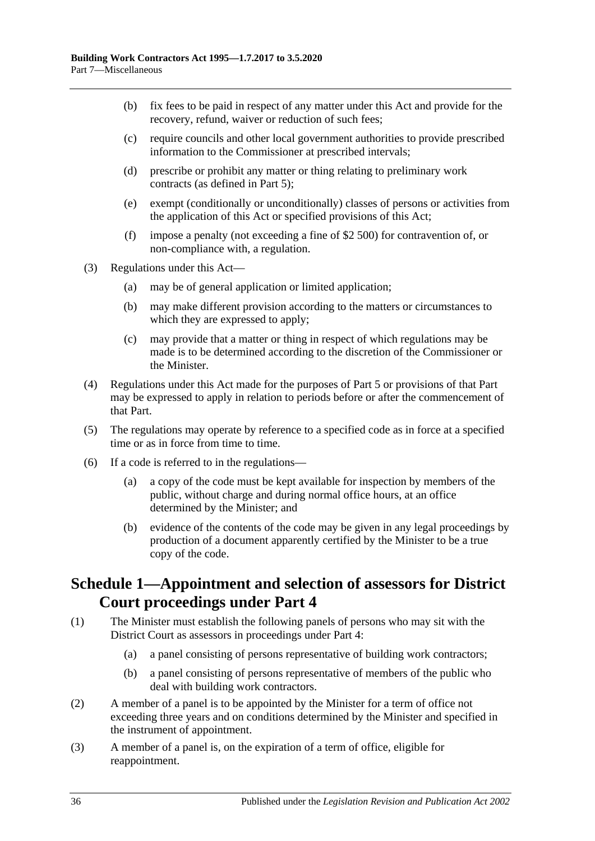- (b) fix fees to be paid in respect of any matter under this Act and provide for the recovery, refund, waiver or reduction of such fees;
- (c) require councils and other local government authorities to provide prescribed information to the Commissioner at prescribed intervals;
- (d) prescribe or prohibit any matter or thing relating to preliminary work contracts (as defined in [Part 5\)](#page-19-1);
- (e) exempt (conditionally or unconditionally) classes of persons or activities from the application of this Act or specified provisions of this Act;
- (f) impose a penalty (not exceeding a fine of \$2 500) for contravention of, or non-compliance with, a regulation.
- (3) Regulations under this Act—
	- (a) may be of general application or limited application;
	- (b) may make different provision according to the matters or circumstances to which they are expressed to apply;
	- (c) may provide that a matter or thing in respect of which regulations may be made is to be determined according to the discretion of the Commissioner or the Minister.
- (4) Regulations under this Act made for the purposes of [Part 5](#page-19-1) or provisions of that Part may be expressed to apply in relation to periods before or after the commencement of that Part.
- (5) The regulations may operate by reference to a specified code as in force at a specified time or as in force from time to time.
- (6) If a code is referred to in the regulations—
	- (a) a copy of the code must be kept available for inspection by members of the public, without charge and during normal office hours, at an office determined by the Minister; and
	- (b) evidence of the contents of the code may be given in any legal proceedings by production of a document apparently certified by the Minister to be a true copy of the code.

# <span id="page-35-0"></span>**Schedule 1—Appointment and selection of assessors for District Court proceedings under [Part 4](#page-16-0)**

- (1) The Minister must establish the following panels of persons who may sit with the District Court as assessors in proceedings under [Part 4:](#page-16-0)
	- (a) a panel consisting of persons representative of building work contractors;
	- (b) a panel consisting of persons representative of members of the public who deal with building work contractors.
- (2) A member of a panel is to be appointed by the Minister for a term of office not exceeding three years and on conditions determined by the Minister and specified in the instrument of appointment.
- (3) A member of a panel is, on the expiration of a term of office, eligible for reappointment.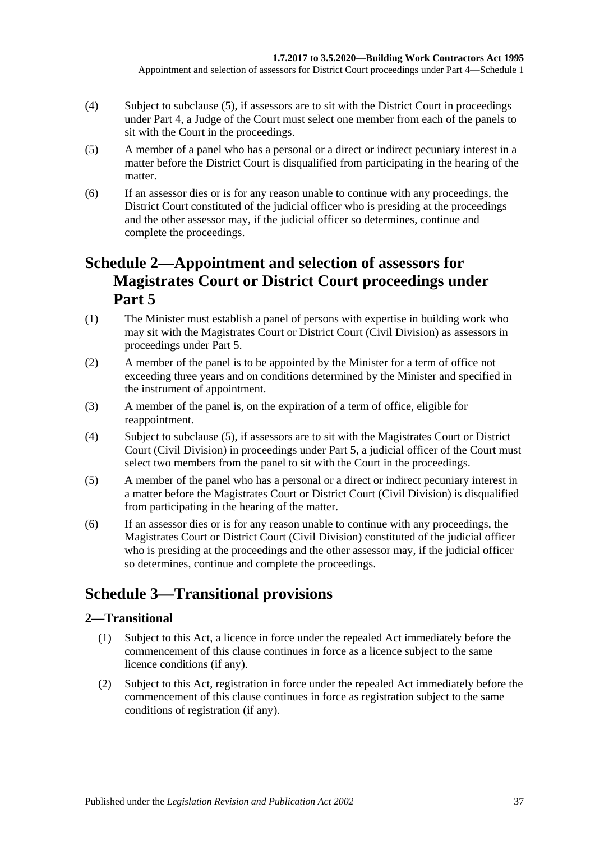- (4) Subject to [subclause](#page-36-3) (5), if assessors are to sit with the District Court in proceedings under [Part 4,](#page-16-0) a Judge of the Court must select one member from each of the panels to sit with the Court in the proceedings.
- <span id="page-36-3"></span>(5) A member of a panel who has a personal or a direct or indirect pecuniary interest in a matter before the District Court is disqualified from participating in the hearing of the matter.
- (6) If an assessor dies or is for any reason unable to continue with any proceedings, the District Court constituted of the judicial officer who is presiding at the proceedings and the other assessor may, if the judicial officer so determines, continue and complete the proceedings.

# <span id="page-36-0"></span>**Schedule 2—Appointment and selection of assessors for Magistrates Court or District Court proceedings under [Part](#page-19-1) 5**

- (1) The Minister must establish a panel of persons with expertise in building work who may sit with the Magistrates Court or District Court (Civil Division) as assessors in proceedings under [Part 5.](#page-19-1)
- (2) A member of the panel is to be appointed by the Minister for a term of office not exceeding three years and on conditions determined by the Minister and specified in the instrument of appointment.
- (3) A member of the panel is, on the expiration of a term of office, eligible for reappointment.
- (4) Subject to [subclause](#page-36-4) (5), if assessors are to sit with the Magistrates Court or District Court (Civil Division) in proceedings under [Part 5,](#page-19-1) a judicial officer of the Court must select two members from the panel to sit with the Court in the proceedings.
- <span id="page-36-4"></span>(5) A member of the panel who has a personal or a direct or indirect pecuniary interest in a matter before the Magistrates Court or District Court (Civil Division) is disqualified from participating in the hearing of the matter.
- (6) If an assessor dies or is for any reason unable to continue with any proceedings, the Magistrates Court or District Court (Civil Division) constituted of the judicial officer who is presiding at the proceedings and the other assessor may, if the judicial officer so determines, continue and complete the proceedings.

# <span id="page-36-1"></span>**Schedule 3—Transitional provisions**

## <span id="page-36-2"></span>**2—Transitional**

- (1) Subject to this Act, a licence in force under the repealed Act immediately before the commencement of this clause continues in force as a licence subject to the same licence conditions (if any).
- (2) Subject to this Act, registration in force under the repealed Act immediately before the commencement of this clause continues in force as registration subject to the same conditions of registration (if any).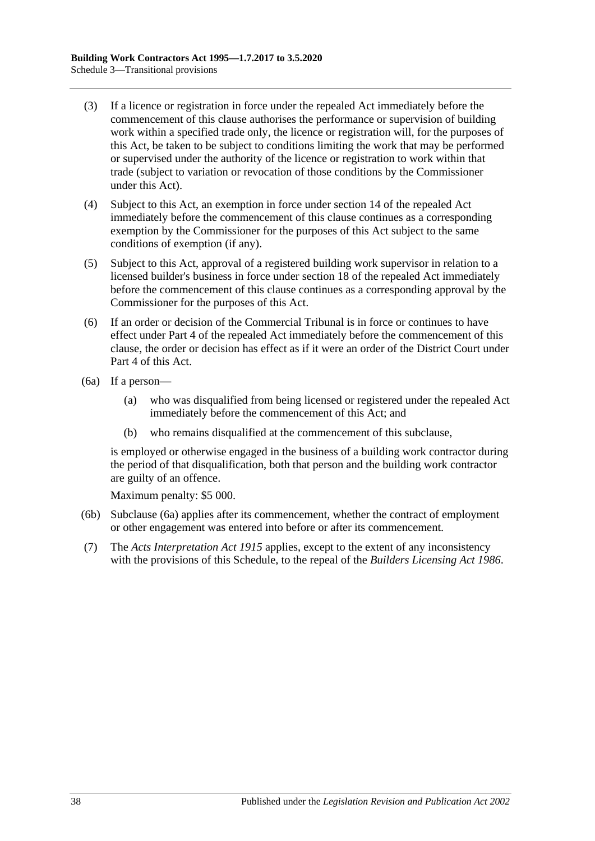- (3) If a licence or registration in force under the repealed Act immediately before the commencement of this clause authorises the performance or supervision of building work within a specified trade only, the licence or registration will, for the purposes of this Act, be taken to be subject to conditions limiting the work that may be performed or supervised under the authority of the licence or registration to work within that trade (subject to variation or revocation of those conditions by the Commissioner under this Act).
- (4) Subject to this Act, an exemption in force under section 14 of the repealed Act immediately before the commencement of this clause continues as a corresponding exemption by the Commissioner for the purposes of this Act subject to the same conditions of exemption (if any).
- (5) Subject to this Act, approval of a registered building work supervisor in relation to a licensed builder's business in force under section 18 of the repealed Act immediately before the commencement of this clause continues as a corresponding approval by the Commissioner for the purposes of this Act.
- (6) If an order or decision of the Commercial Tribunal is in force or continues to have effect under Part 4 of the repealed Act immediately before the commencement of this clause, the order or decision has effect as if it were an order of the District Court under [Part 4](#page-16-0) of this Act.
- <span id="page-37-0"></span>(6a) If a person—
	- (a) who was disqualified from being licensed or registered under the repealed Act immediately before the commencement of this Act; and
	- (b) who remains disqualified at the commencement of this subclause,

is employed or otherwise engaged in the business of a building work contractor during the period of that disqualification, both that person and the building work contractor are guilty of an offence.

Maximum penalty: \$5 000.

- (6b) [Subclause](#page-37-0) (6a) applies after its commencement, whether the contract of employment or other engagement was entered into before or after its commencement.
- (7) The *[Acts Interpretation Act](http://www.legislation.sa.gov.au/index.aspx?action=legref&type=act&legtitle=Acts%20Interpretation%20Act%201915) 1915* applies, except to the extent of any inconsistency with the provisions of this Schedule, to the repeal of the *[Builders Licensing Act](http://www.legislation.sa.gov.au/index.aspx?action=legref&type=act&legtitle=Builders%20Licensing%20Act%201986) 1986*.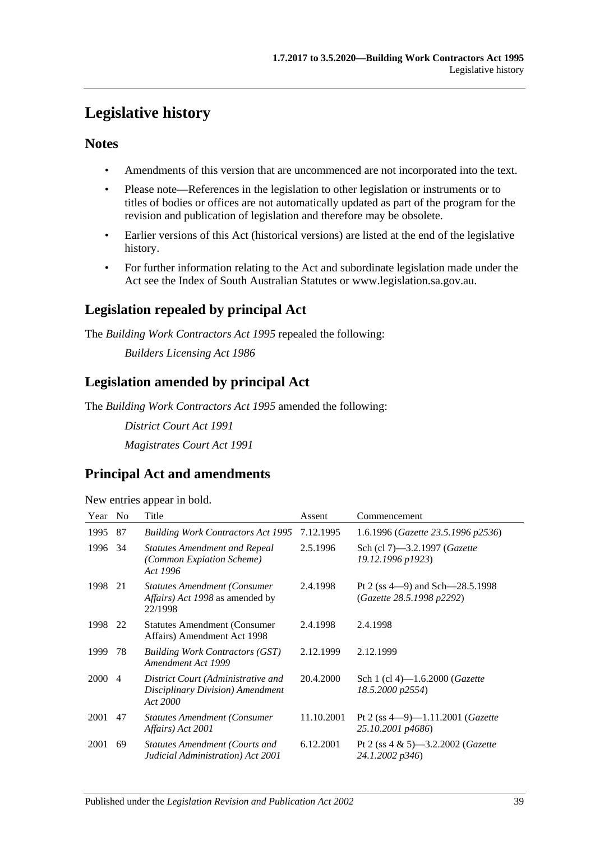# <span id="page-38-0"></span>**Legislative history**

### **Notes**

- Amendments of this version that are uncommenced are not incorporated into the text.
- Please note—References in the legislation to other legislation or instruments or to titles of bodies or offices are not automatically updated as part of the program for the revision and publication of legislation and therefore may be obsolete.
- Earlier versions of this Act (historical versions) are listed at the end of the legislative history.
- For further information relating to the Act and subordinate legislation made under the Act see the Index of South Australian Statutes or www.legislation.sa.gov.au.

# **Legislation repealed by principal Act**

The *Building Work Contractors Act 1995* repealed the following:

*Builders Licensing Act 1986*

# **Legislation amended by principal Act**

The *Building Work Contractors Act 1995* amended the following:

*District Court Act 1991 Magistrates Court Act 1991*

# **Principal Act and amendments**

New entries appear in bold.

| Year | N <sub>o</sub> | Title                                                                              | Assent     | Commencement                                                       |
|------|----------------|------------------------------------------------------------------------------------|------------|--------------------------------------------------------------------|
| 1995 | 87             | <b>Building Work Contractors Act 1995</b>                                          | 7.12.1995  | 1.6.1996 (Gazette 23.5.1996 p2536)                                 |
| 1996 | 34             | <b>Statutes Amendment and Repeal</b><br>(Common Expiation Scheme)<br>Act 1996      | 2.5.1996   | Sch (cl 7)-3.2.1997 (Gazette<br>19.12.1996 p1923)                  |
| 1998 | 21             | <b>Statutes Amendment (Consumer</b><br>Affairs) Act 1998 as amended by<br>22/1998  | 2.4.1998   | Pt 2 (ss $4-9$ ) and Sch $-28.5.1998$<br>(Gazette 28.5.1998 p2292) |
| 1998 | 22             | <b>Statutes Amendment (Consumer</b> )<br>Affairs) Amendment Act 1998               | 2.4.1998   | 2.4.1998                                                           |
| 1999 | 78             | <b>Building Work Contractors (GST)</b><br>Amendment Act 1999                       | 2.12.1999  | 2.12.1999                                                          |
| 2000 | 4              | District Court (Administrative and<br>Disciplinary Division) Amendment<br>Act 2000 | 20.4.2000  | Sch 1 (cl 4)-1.6.2000 ( <i>Gazette</i><br>18.5.2000 p2554)         |
| 2001 | 47             | <b>Statutes Amendment (Consumer</b><br>Affairs) Act 2001                           | 11.10.2001 | Pt 2 (ss $4-9$ )-1.11.2001 ( <i>Gazette</i><br>25.10.2001 p4686)   |
| 2001 | 69             | <b>Statutes Amendment (Courts and</b><br>Judicial Administration) Act 2001         | 6.12.2001  | Pt 2 (ss 4 & 5)-3.2.2002 ( <i>Gazette</i><br>24.1.2002 p346)       |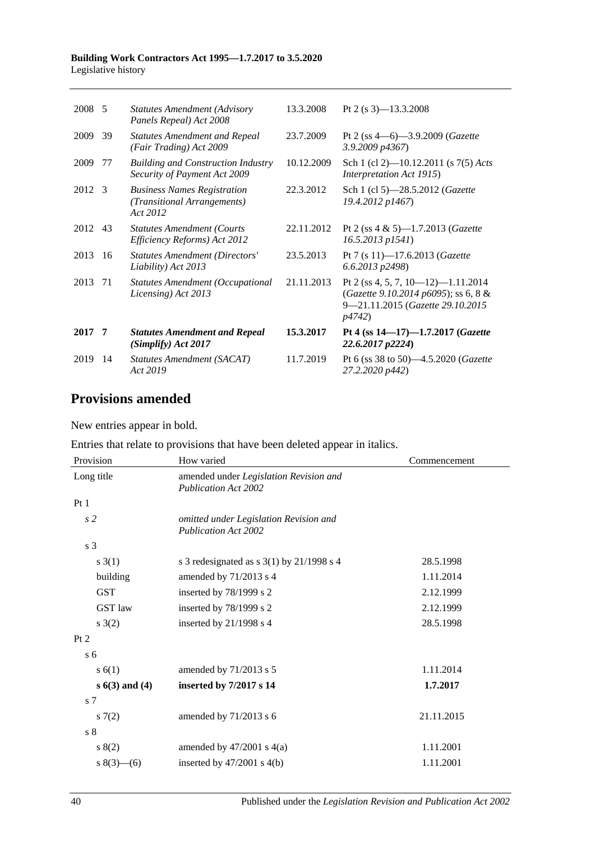#### **Building Work Contractors Act 1995—1.7.2017 to 3.5.2020** Legislative history

| 2008 5 |     | <b>Statutes Amendment (Advisory</b><br>Panels Repeal) Act 2008                | 13.3.2008  | Pt 2 (s $3$ )-13.3.2008                                                                                                  |
|--------|-----|-------------------------------------------------------------------------------|------------|--------------------------------------------------------------------------------------------------------------------------|
| 2009   | 39  | <b>Statutes Amendment and Repeal</b><br>(Fair Trading) Act 2009               | 23.7.2009  | Pt 2 (ss $4-6$ )-3.9.2009 ( <i>Gazette</i><br>3.9.2009 p4367)                                                            |
| 2009   | 77  | <b>Building and Construction Industry</b><br>Security of Payment Act 2009     | 10.12.2009 | Sch 1 (cl 2)—10.12.2011 (s $7(5)$ Acts<br><i>Interpretation Act 1915</i> )                                               |
| 2012 3 |     | <b>Business Names Registration</b><br>(Transitional Arrangements)<br>Act 2012 | 22.3.2012  | Sch 1 (cl 5)-28.5.2012 (Gazette<br>19.4.2012 p1467)                                                                      |
| 2012   | 43  | <b>Statutes Amendment (Courts</b><br>Efficiency Reforms) Act 2012             | 22.11.2012 | Pt 2 (ss $4 \& 5$ )-1.7.2013 ( <i>Gazette</i><br>$16.5.2013$ $p1541$ )                                                   |
| 2013   | 16  | <b>Statutes Amendment (Directors'</b><br>Liability) Act 2013                  | 23.5.2013  | Pt 7 (s 11)-17.6.2013 (Gazette<br>6.6.2013 p2498)                                                                        |
| 2013   | 71  | <b>Statutes Amendment (Occupational</b><br>Licensing) Act 2013                | 21.11.2013 | Pt 2 (ss 4, 5, 7, 10–12)–1.11.2014<br>(Gazette 9.10.2014 p6095); ss 6, 8 &<br>9-21.11.2015 (Gazette 29.10.2015<br>p4742) |
| 2017   | -7  | <b>Statutes Amendment and Repeal</b><br>(Simplify) Act 2017                   | 15.3.2017  | Pt 4 (ss $14-17$ )-1.7.2017 ( <i>Gazette</i><br>22.6.2017 p2224)                                                         |
| 2019   | -14 | Statutes Amendment (SACAT)<br>Act 2019                                        | 11.7.2019  | Pt 6 (ss 38 to 50)-4.5.2020 (Gazette<br>27.2.2020 p442)                                                                  |

# **Provisions amended**

New entries appear in bold.

|  |  | Entries that relate to provisions that have been deleted appear in italics. |  |
|--|--|-----------------------------------------------------------------------------|--|
|  |  |                                                                             |  |

| Provision      | How varied                                                            | Commencement |  |
|----------------|-----------------------------------------------------------------------|--------------|--|
| Long title     | amended under Legislation Revision and<br><b>Publication Act 2002</b> |              |  |
| Pt1            |                                                                       |              |  |
| s <sub>2</sub> | omitted under Legislation Revision and<br><b>Publication Act 2002</b> |              |  |
| s <sub>3</sub> |                                                                       |              |  |
| s(3(1))        | s 3 redesignated as s $3(1)$ by $21/1998$ s 4                         | 28.5.1998    |  |
| building       | amended by 71/2013 s 4                                                | 1.11.2014    |  |
| <b>GST</b>     | inserted by 78/1999 s 2                                               | 2.12.1999    |  |
| <b>GST</b> law | inserted by $78/1999$ s 2                                             | 2.12.1999    |  |
| s(2)           | inserted by 21/1998 s 4                                               | 28.5.1998    |  |
| Pt 2           |                                                                       |              |  |
| s <sub>6</sub> |                                                                       |              |  |
| s(6(1))        | amended by 71/2013 s 5                                                | 1.11.2014    |  |
| $s(3)$ and (4) | inserted by 7/2017 s 14                                               | 1.7.2017     |  |
| s <sub>7</sub> |                                                                       |              |  |
| s(7(2)         | amended by 71/2013 s 6                                                | 21.11.2015   |  |
| s <sub>8</sub> |                                                                       |              |  |
| s(2)           | amended by $47/2001$ s $4(a)$                                         | 1.11.2001    |  |
| $s(3)$ (6)     | inserted by $47/2001$ s $4(b)$                                        | 1.11.2001    |  |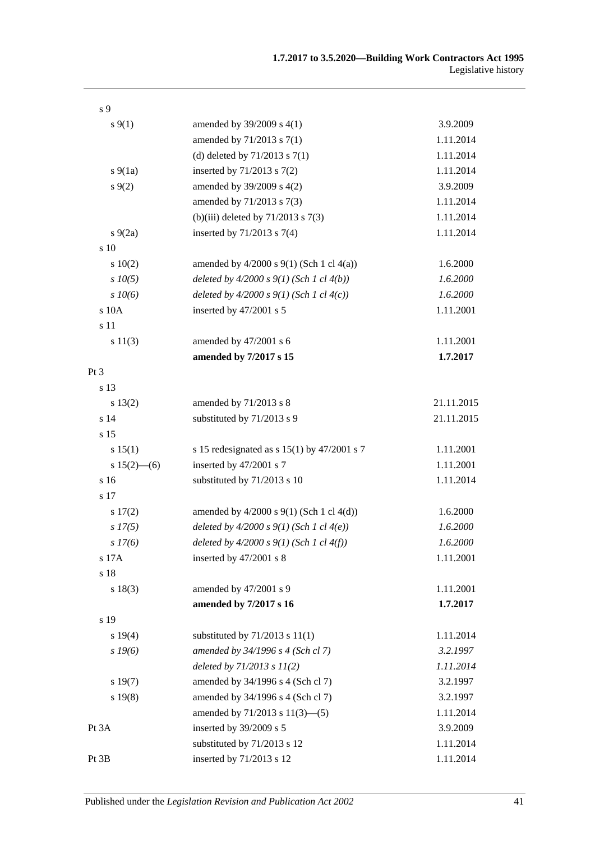| s 9             |                                                 |            |
|-----------------|-------------------------------------------------|------------|
| $s \, 9(1)$     | amended by $39/2009$ s 4(1)                     | 3.9.2009   |
|                 | amended by 71/2013 s 7(1)                       | 1.11.2014  |
|                 | (d) deleted by $71/2013$ s $7(1)$               | 1.11.2014  |
| $s\ 9(1a)$      | inserted by $71/2013$ s $7(2)$                  | 1.11.2014  |
| s(9(2)          | amended by 39/2009 s 4(2)                       | 3.9.2009   |
|                 | amended by 71/2013 s 7(3)                       | 1.11.2014  |
|                 | (b)(iii) deleted by $71/2013$ s $7(3)$          | 1.11.2014  |
| $s\ 9(2a)$      | inserted by $71/2013$ s $7(4)$                  | 1.11.2014  |
| s 10            |                                                 |            |
| 10(2)           | amended by $4/2000$ s $9(1)$ (Sch 1 cl $4(a)$ ) | 1.6.2000   |
| $s$ $10(5)$     | deleted by $4/2000 s 9(1)$ (Sch 1 cl $4(b)$ )   | 1.6.2000   |
| $s$ 10(6)       | deleted by $4/2000 s 9(1)$ (Sch 1 cl $4(c)$ )   | 1.6.2000   |
| s 10A           | inserted by 47/2001 s 5                         | 1.11.2001  |
| s 11            |                                                 |            |
| s 11(3)         | amended by 47/2001 s 6                          | 1.11.2001  |
|                 | amended by 7/2017 s 15                          | 1.7.2017   |
| Pt <sub>3</sub> |                                                 |            |
| s 13            |                                                 |            |
| s 13(2)         | amended by 71/2013 s 8                          | 21.11.2015 |
| s 14            | substituted by 71/2013 s 9                      | 21.11.2015 |
| s 15            |                                                 |            |
| s 15(1)         | s 15 redesignated as s $15(1)$ by $47/2001$ s 7 | 1.11.2001  |
| $s 15(2)$ – (6) | inserted by 47/2001 s 7                         | 1.11.2001  |
| s 16            | substituted by 71/2013 s 10                     | 1.11.2014  |
| s 17            |                                                 |            |
| s 17(2)         | amended by $4/2000$ s $9(1)$ (Sch 1 cl $4(d)$ ) | 1.6.2000   |
| $s\,I7(5)$      | deleted by $4/2000 s 9(1)$ (Sch 1 cl $4(e)$ )   | 1.6.2000   |
| s 17(6)         | deleted by $4/2000 s 9(1)$ (Sch 1 cl $4(f)$ )   | 1.6.2000   |
| s 17A           | inserted by 47/2001 s 8                         | 1.11.2001  |
| s 18            |                                                 |            |
| s 18(3)         | amended by 47/2001 s 9                          | 1.11.2001  |
|                 | amended by 7/2017 s 16                          | 1.7.2017   |
| s 19            |                                                 |            |
| s 19(4)         | substituted by $71/2013$ s $11(1)$              | 1.11.2014  |
| s 19(6)         | amended by 34/1996 s 4 (Sch cl 7)               | 3.2.1997   |
|                 | deleted by $71/2013$ s $11(2)$                  | 1.11.2014  |
| s 19(7)         | amended by 34/1996 s 4 (Sch cl 7)               | 3.2.1997   |
| s 19(8)         | amended by 34/1996 s 4 (Sch cl 7)               | 3.2.1997   |
|                 | amended by $71/2013$ s $11(3)$ —(5)             | 1.11.2014  |
| Pt 3A           | inserted by 39/2009 s 5                         | 3.9.2009   |
|                 | substituted by 71/2013 s 12                     | 1.11.2014  |
| Pt 3B           | inserted by 71/2013 s 12                        | 1.11.2014  |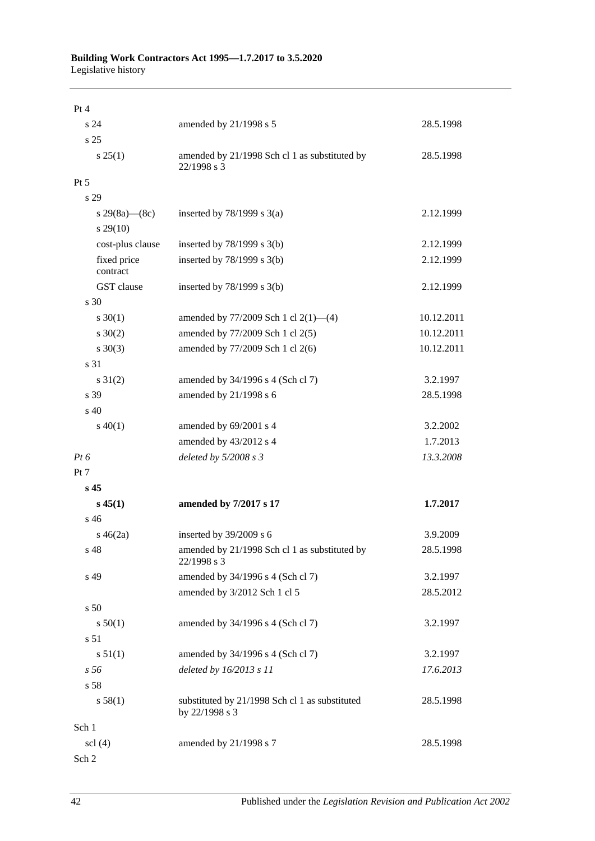| Pt 4                          |                                                                  |            |
|-------------------------------|------------------------------------------------------------------|------------|
| s 24                          | amended by 21/1998 s 5                                           | 28.5.1998  |
| s 25                          |                                                                  |            |
| s 25(1)                       | amended by 21/1998 Sch cl 1 as substituted by<br>22/1998 s 3     | 28.5.1998  |
| Pt 5                          |                                                                  |            |
| s 29                          |                                                                  |            |
| s 29(8a)—(8c)                 | inserted by $78/1999$ s $3(a)$                                   | 2.12.1999  |
| $s\,29(10)$                   |                                                                  |            |
| cost-plus clause              | inserted by $78/1999$ s $3(b)$                                   | 2.12.1999  |
| fixed price<br>contract       | inserted by $78/1999$ s $3(b)$                                   | 2.12.1999  |
| GST clause                    | inserted by $78/1999$ s $3(b)$                                   | 2.12.1999  |
| s 30                          |                                                                  |            |
| $s \ 30(1)$                   | amended by 77/2009 Sch 1 cl 2(1)-(4)                             | 10.12.2011 |
| $s \ 30(2)$                   | amended by 77/2009 Sch 1 cl 2(5)                                 | 10.12.2011 |
| $s \ 30(3)$                   | amended by 77/2009 Sch 1 cl 2(6)                                 | 10.12.2011 |
| s 31                          |                                                                  |            |
| $s \ 31(2)$                   | amended by 34/1996 s 4 (Sch cl 7)                                | 3.2.1997   |
| s 39                          | amended by 21/1998 s 6                                           | 28.5.1998  |
| s 40                          |                                                                  |            |
| $s\ 40(1)$                    | amended by 69/2001 s 4                                           | 3.2.2002   |
|                               | amended by 43/2012 s 4                                           | 1.7.2013   |
| $Pt\,6$                       | deleted by 5/2008 s 3                                            | 13.3.2008  |
| Pt 7                          |                                                                  |            |
| s 45                          |                                                                  |            |
| $s\,45(1)$                    | amended by 7/2017 s 17                                           | 1.7.2017   |
| s 46                          |                                                                  |            |
| $s\,46(2a)$                   | inserted by 39/2009 s 6                                          | 3.9.2009   |
| s 48                          | amended by 21/1998 Sch cl 1 as substituted by<br>22/1998 s 3     | 28.5.1998  |
| s 49                          | amended by 34/1996 s 4 (Sch cl 7)                                | 3.2.1997   |
|                               | amended by 3/2012 Sch 1 cl 5                                     | 28.5.2012  |
| s <sub>50</sub>               |                                                                  |            |
| s 50(1)                       | amended by 34/1996 s 4 (Sch cl 7)                                | 3.2.1997   |
| s 51                          |                                                                  |            |
| s 51(1)                       | amended by 34/1996 s 4 (Sch cl 7)                                | 3.2.1997   |
| s 56                          | deleted by 16/2013 s 11                                          | 17.6.2013  |
| s 58                          |                                                                  |            |
| s 58(1)                       | substituted by 21/1998 Sch cl 1 as substituted<br>by 22/1998 s 3 | 28.5.1998  |
| Sch 1                         |                                                                  |            |
| $\text{ }$ scl $\text{ }$ (4) | amended by 21/1998 s 7                                           | 28.5.1998  |
| Sch 2                         |                                                                  |            |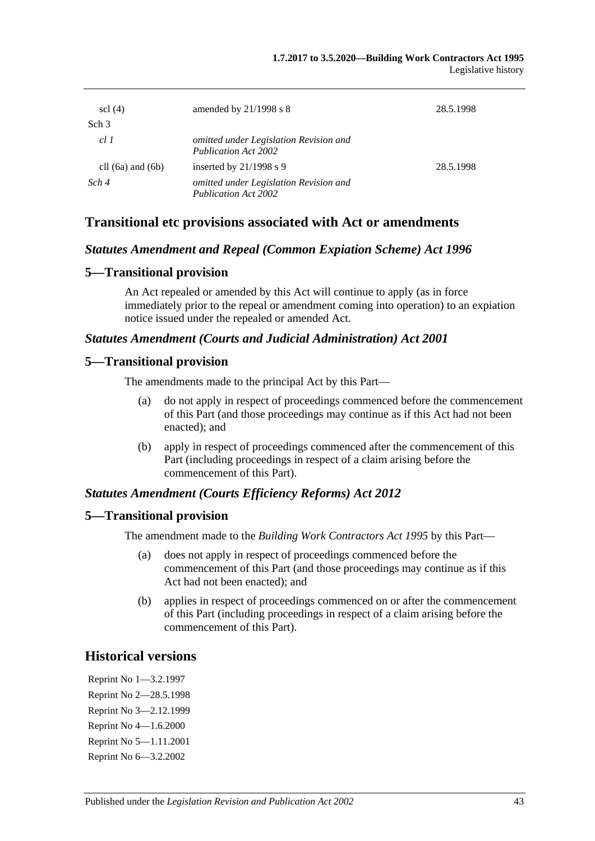| $\text{sc}$ (4)       | amended by $21/1998$ s 8                                              | 28.5.1998 |
|-----------------------|-----------------------------------------------------------------------|-----------|
| Sch <sub>3</sub>      |                                                                       |           |
| cl1                   | omitted under Legislation Revision and<br>Publication Act 2002        |           |
| cll $(6a)$ and $(6b)$ | inserted by $21/1998$ s 9                                             | 28.5.1998 |
| Sch 4                 | omitted under Legislation Revision and<br><b>Publication Act 2002</b> |           |

#### **Transitional etc provisions associated with Act or amendments**

#### *Statutes Amendment and Repeal (Common Expiation Scheme) Act 1996*

#### **5—Transitional provision**

An Act repealed or amended by this Act will continue to apply (as in force immediately prior to the repeal or amendment coming into operation) to an expiation notice issued under the repealed or amended Act.

#### *Statutes Amendment (Courts and Judicial Administration) Act 2001*

#### **5—Transitional provision**

The amendments made to the principal Act by this Part—

- (a) do not apply in respect of proceedings commenced before the commencement of this Part (and those proceedings may continue as if this Act had not been enacted); and
- (b) apply in respect of proceedings commenced after the commencement of this Part (including proceedings in respect of a claim arising before the commencement of this Part).

#### *Statutes Amendment (Courts Efficiency Reforms) Act 2012*

#### **5—Transitional provision**

The amendment made to the *[Building Work Contractors Act](http://www.legislation.sa.gov.au/index.aspx?action=legref&type=act&legtitle=Building%20Work%20Contractors%20Act%201995) 1995* by this Part—

- (a) does not apply in respect of proceedings commenced before the commencement of this Part (and those proceedings may continue as if this Act had not been enacted); and
- (b) applies in respect of proceedings commenced on or after the commencement of this Part (including proceedings in respect of a claim arising before the commencement of this Part).

## **Historical versions**

Reprint No 1—3.2.1997 Reprint No 2—28.5.1998 Reprint No 3—2.12.1999 Reprint No 4—1.6.2000 Reprint No 5—1.11.2001 Reprint No 6—3.2.2002